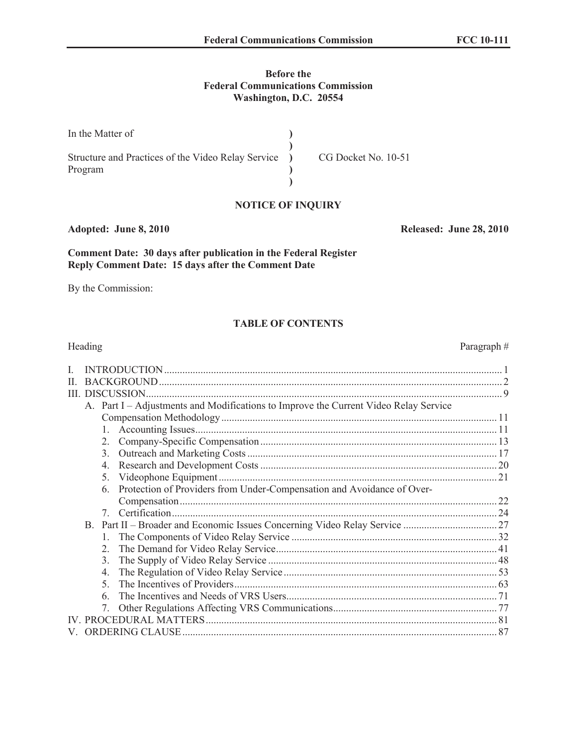# **Before the Federal Communications Commission Washington, D.C. 20554**

| In the Matter of                                     |                     |
|------------------------------------------------------|---------------------|
| Structure and Practices of the Video Relay Service ) | CG Docket No. 10-51 |
| Program                                              |                     |
|                                                      |                     |

# **NOTICE OF INQUIRY**

**Adopted: June 8, 2010 Released: June 28, 2010**

# **Comment Date: 30 days after publication in the Federal Register Reply Comment Date: 15 days after the Comment Date**

By the Commission:

# **TABLE OF CONTENTS**

|   | Heading          |                                                                                      | Paragraph# |
|---|------------------|--------------------------------------------------------------------------------------|------------|
| L |                  |                                                                                      |            |
| H |                  |                                                                                      |            |
| Ш |                  |                                                                                      |            |
|   |                  | A. Part I - Adjustments and Modifications to Improve the Current Video Relay Service |            |
|   |                  |                                                                                      |            |
|   |                  |                                                                                      |            |
|   | $2_{-}$          |                                                                                      |            |
|   | 3 <sub>1</sub>   |                                                                                      |            |
|   | $\overline{4}$ . |                                                                                      |            |
|   | 5.               |                                                                                      |            |
|   | 6.               | Protection of Providers from Under-Compensation and Avoidance of Over-               |            |
|   |                  |                                                                                      |            |
|   | $7\overline{ }$  |                                                                                      |            |
|   |                  |                                                                                      |            |
|   | $1_{\cdot}$      |                                                                                      |            |
|   | $2^{\circ}$      |                                                                                      |            |
|   | 3.               |                                                                                      |            |
|   | $\overline{4}$ . |                                                                                      |            |
|   | $5^{\circ}$      |                                                                                      |            |
|   | 6                |                                                                                      |            |
|   |                  |                                                                                      |            |
|   |                  |                                                                                      |            |
|   |                  |                                                                                      |            |
|   |                  |                                                                                      |            |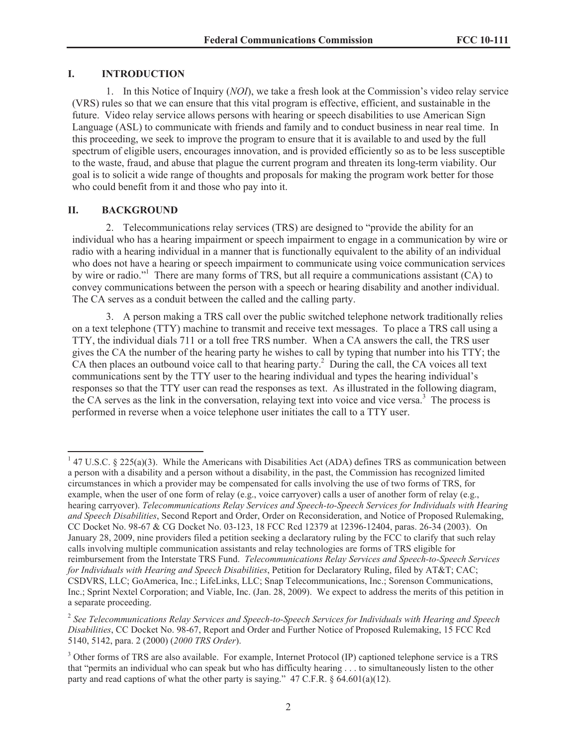#### **I. INTRODUCTION**

1. In this Notice of Inquiry (*NOI*), we take a fresh look at the Commission's video relay service (VRS) rules so that we can ensure that this vital program is effective, efficient, and sustainable in the future. Video relay service allows persons with hearing or speech disabilities to use American Sign Language (ASL) to communicate with friends and family and to conduct business in near real time. In this proceeding, we seek to improve the program to ensure that it is available to and used by the full spectrum of eligible users, encourages innovation, and is provided efficiently so as to be less susceptible to the waste, fraud, and abuse that plague the current program and threaten its long-term viability. Our goal is to solicit a wide range of thoughts and proposals for making the program work better for those who could benefit from it and those who pay into it.

## **II. BACKGROUND**

2. Telecommunications relay services (TRS) are designed to "provide the ability for an individual who has a hearing impairment or speech impairment to engage in a communication by wire or radio with a hearing individual in a manner that is functionally equivalent to the ability of an individual who does not have a hearing or speech impairment to communicate using voice communication services by wire or radio."<sup>1</sup> There are many forms of TRS, but all require a communications assistant (CA) to convey communications between the person with a speech or hearing disability and another individual. The CA serves as a conduit between the called and the calling party.

3. A person making a TRS call over the public switched telephone network traditionally relies on a text telephone (TTY) machine to transmit and receive text messages. To place a TRS call using a TTY, the individual dials 711 or a toll free TRS number. When a CA answers the call, the TRS user gives the CA the number of the hearing party he wishes to call by typing that number into his TTY; the CA then places an outbound voice call to that hearing party.<sup>2</sup> During the call, the CA voices all text communications sent by the TTY user to the hearing individual and types the hearing individual's responses so that the TTY user can read the responses as text. As illustrated in the following diagram, the CA serves as the link in the conversation, relaying text into voice and vice versa.<sup>3</sup> The process is performed in reverse when a voice telephone user initiates the call to a TTY user.

<sup>&</sup>lt;sup>1</sup> 47 U.S.C. § 225(a)(3). While the Americans with Disabilities Act (ADA) defines TRS as communication between a person with a disability and a person without a disability, in the past, the Commission has recognized limited circumstances in which a provider may be compensated for calls involving the use of two forms of TRS, for example, when the user of one form of relay (e.g., voice carryover) calls a user of another form of relay (e.g., hearing carryover). *Telecommunications Relay Services and Speech-to-Speech Services for Individuals with Hearing and Speech Disabilities*, Second Report and Order, Order on Reconsideration, and Notice of Proposed Rulemaking, CC Docket No. 98-67 & CG Docket No. 03-123, 18 FCC Rcd 12379 at 12396-12404, paras. 26-34 (2003). On January 28, 2009, nine providers filed a petition seeking a declaratory ruling by the FCC to clarify that such relay calls involving multiple communication assistants and relay technologies are forms of TRS eligible for reimbursement from the Interstate TRS Fund. *Telecommunications Relay Services and Speech-to-Speech Services for Individuals with Hearing and Speech Disabilities*, Petition for Declaratory Ruling, filed by AT&T; CAC; CSDVRS, LLC; GoAmerica, Inc.; LifeLinks, LLC; Snap Telecommunications, Inc.; Sorenson Communications, Inc.; Sprint Nextel Corporation; and Viable, Inc. (Jan. 28, 2009). We expect to address the merits of this petition in a separate proceeding.

<sup>2</sup> *See Telecommunications Relay Services and Speech-to-Speech Services for Individuals with Hearing and Speech Disabilities*, CC Docket No. 98-67, Report and Order and Further Notice of Proposed Rulemaking, 15 FCC Rcd 5140, 5142, para. 2 (2000) (*2000 TRS Order*).

<sup>&</sup>lt;sup>3</sup> Other forms of TRS are also available. For example, Internet Protocol (IP) captioned telephone service is a TRS that "permits an individual who can speak but who has difficulty hearing . . . to simultaneously listen to the other party and read captions of what the other party is saying."  $47 \text{ C.F.R.}$  §  $64.601(a)(12)$ .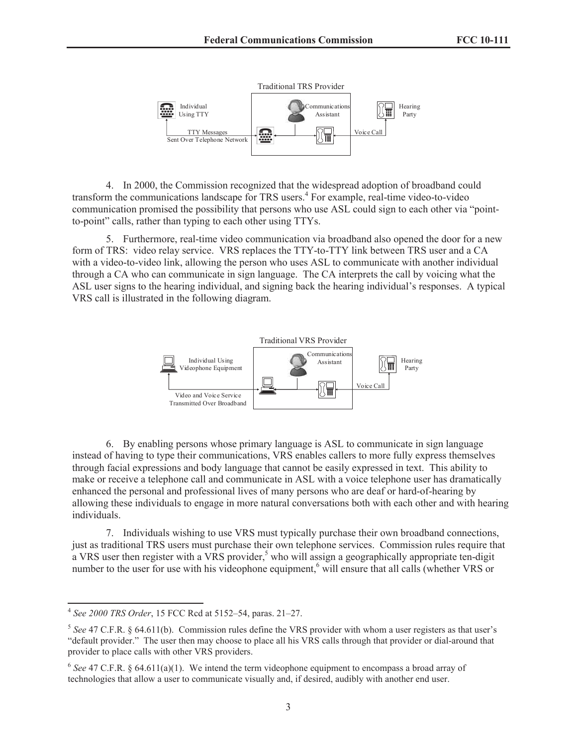

4. In 2000, the Commission recognized that the widespread adoption of broadband could transform the communications landscape for TRS users.<sup>4</sup> For example, real-time video-to-video communication promised the possibility that persons who use ASL could sign to each other via "pointto-point" calls, rather than typing to each other using TTYs.

5. Furthermore, real-time video communication via broadband also opened the door for a new form of TRS: video relay service. VRS replaces the TTY-to-TTY link between TRS user and a CA with a video-to-video link, allowing the person who uses ASL to communicate with another individual through a CA who can communicate in sign language. The CA interprets the call by voicing what the ASL user signs to the hearing individual, and signing back the hearing individual's responses. A typical VRS call is illustrated in the following diagram.



6. By enabling persons whose primary language is ASL to communicate in sign language instead of having to type their communications, VRS enables callers to more fully express themselves through facial expressions and body language that cannot be easily expressed in text. This ability to make or receive a telephone call and communicate in ASL with a voice telephone user has dramatically enhanced the personal and professional lives of many persons who are deaf or hard-of-hearing by allowing these individuals to engage in more natural conversations both with each other and with hearing individuals.

7. Individuals wishing to use VRS must typically purchase their own broadband connections, just as traditional TRS users must purchase their own telephone services. Commission rules require that a VRS user then register with a VRS provider,<sup>5</sup> who will assign a geographically appropriate ten-digit number to the user for use with his videophone equipment,<sup>6</sup> will ensure that all calls (whether VRS or

<sup>4</sup> *See 2000 TRS Order*, 15 FCC Rcd at 5152–54, paras. 21–27.

<sup>5</sup> *See* 47 C.F.R. § 64.611(b). Commission rules define the VRS provider with whom a user registers as that user's "default provider." The user then may choose to place all his VRS calls through that provider or dial-around that provider to place calls with other VRS providers.

<sup>&</sup>lt;sup>6</sup> See 47 C.F.R. § 64.611(a)(1). We intend the term videophone equipment to encompass a broad array of technologies that allow a user to communicate visually and, if desired, audibly with another end user.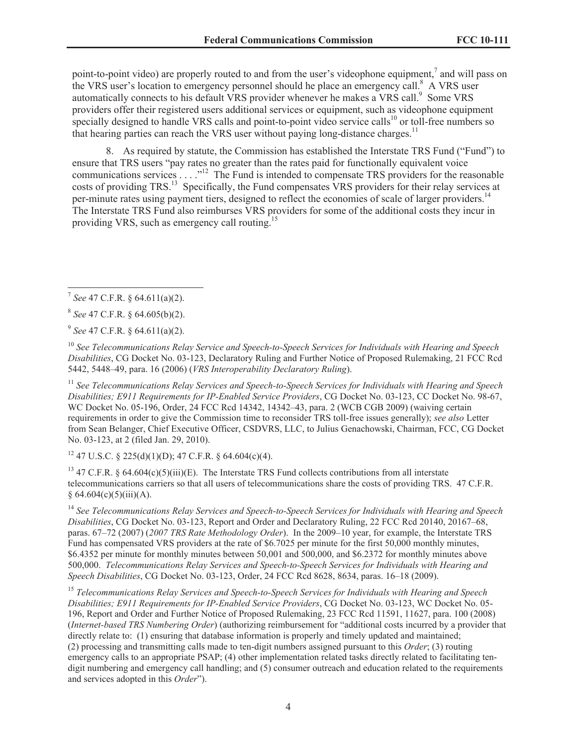point-to-point video) are properly routed to and from the user's videophone equipment,<sup>7</sup> and will pass on the VRS user's location to emergency personnel should he place an emergency call.<sup>8</sup> A VRS user automatically connects to his default VRS provider whenever he makes a VRS call.<sup>9</sup> Some VRS providers offer their registered users additional services or equipment, such as videophone equipment specially designed to handle VRS calls and point-to-point video service calls<sup>10</sup> or toll-free numbers so that hearing parties can reach the VRS user without paying long-distance charges.<sup>11</sup>

8. As required by statute, the Commission has established the Interstate TRS Fund ("Fund") to ensure that TRS users "pay rates no greater than the rates paid for functionally equivalent voice communications services . . . ."<sup>12</sup> The Fund is intended to compensate TRS providers for the reasonable costs of providing TRS.<sup>13</sup> Specifically, the Fund compensates VRS providers for their relay services at per-minute rates using payment tiers, designed to reflect the economies of scale of larger providers.<sup>14</sup> The Interstate TRS Fund also reimburses VRS providers for some of the additional costs they incur in providing VRS, such as emergency call routing.<sup>15</sup>

9 *See* 47 C.F.R. § 64.611(a)(2).

<sup>10</sup> *See Telecommunications Relay Service and Speech-to-Speech Services for Individuals with Hearing and Speech Disabilities*, CG Docket No. 03-123, Declaratory Ruling and Further Notice of Proposed Rulemaking, 21 FCC Rcd 5442, 5448–49, para. 16 (2006) (*VRS Interoperability Declaratory Ruling*).

<sup>11</sup> *See Telecommunications Relay Services and Speech-to-Speech Services for Individuals with Hearing and Speech Disabilities; E911 Requirements for IP-Enabled Service Providers*, CG Docket No. 03-123, CC Docket No. 98-67, WC Docket No. 05-196, Order, 24 FCC Rcd 14342, 14342–43, para. 2 (WCB CGB 2009) (waiving certain requirements in order to give the Commission time to reconsider TRS toll-free issues generally); *see also* Letter from Sean Belanger, Chief Executive Officer, CSDVRS, LLC, to Julius Genachowski, Chairman, FCC, CG Docket No. 03-123, at 2 (filed Jan. 29, 2010).

 $12$  47 U.S.C. § 225(d)(1)(D); 47 C.F.R. § 64.604(c)(4).

<sup>13</sup> 47 C.F.R. § 64.604(c)(5)(iii)(E). The Interstate TRS Fund collects contributions from all interstate telecommunications carriers so that all users of telecommunications share the costs of providing TRS. 47 C.F.R.  $§ 64.604(c)(5)(iii)(A).$ 

<sup>14</sup> *See Telecommunications Relay Services and Speech-to-Speech Services for Individuals with Hearing and Speech Disabilities*, CG Docket No. 03-123, Report and Order and Declaratory Ruling, 22 FCC Rcd 20140, 20167–68, paras. 67–72 (2007) (*2007 TRS Rate Methodology Order*). In the 2009–10 year, for example, the Interstate TRS Fund has compensated VRS providers at the rate of \$6.7025 per minute for the first 50,000 monthly minutes, \$6.4352 per minute for monthly minutes between 50,001 and 500,000, and \$6.2372 for monthly minutes above 500,000. *Telecommunications Relay Services and Speech-to-Speech Services for Individuals with Hearing and Speech Disabilities*, CG Docket No. 03-123, Order, 24 FCC Rcd 8628, 8634, paras. 16–18 (2009).

<sup>15</sup> *Telecommunications Relay Services and Speech-to-Speech Services for Individuals with Hearing and Speech Disabilities; E911 Requirements for IP-Enabled Service Providers*, CG Docket No. 03-123, WC Docket No. 05- 196, Report and Order and Further Notice of Proposed Rulemaking, 23 FCC Rcd 11591, 11627, para. 100 (2008) (*Internet-based TRS Numbering Order*) (authorizing reimbursement for "additional costs incurred by a provider that directly relate to: (1) ensuring that database information is properly and timely updated and maintained; (2) processing and transmitting calls made to ten-digit numbers assigned pursuant to this *Order*; (3) routing emergency calls to an appropriate PSAP; (4) other implementation related tasks directly related to facilitating tendigit numbering and emergency call handling; and (5) consumer outreach and education related to the requirements and services adopted in this *Order*").

<sup>7</sup> *See* 47 C.F.R. § 64.611(a)(2).

<sup>8</sup> *See* 47 C.F.R. § 64.605(b)(2).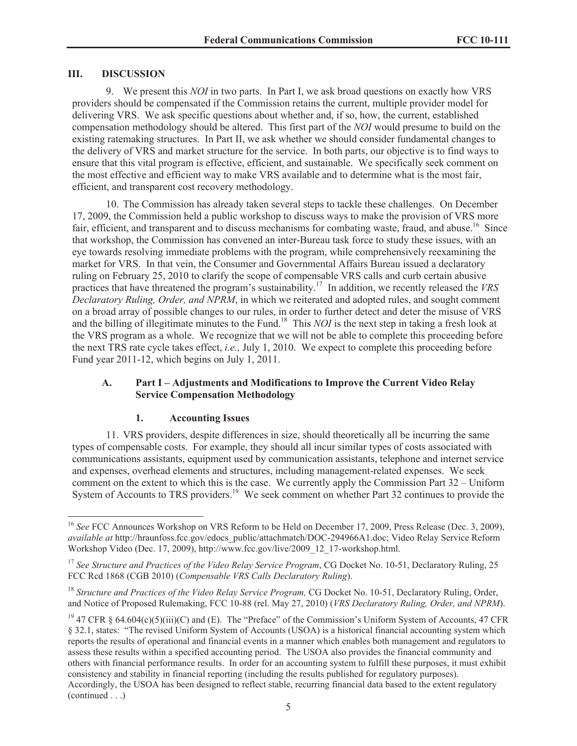#### **III. DISCUSSION**

9. We present this *NOI* in two parts. In Part I, we ask broad questions on exactly how VRS providers should be compensated if the Commission retains the current, multiple provider model for delivering VRS. We ask specific questions about whether and, if so, how, the current, established compensation methodology should be altered. This first part of the *NOI* would presume to build on the existing ratemaking structures. In Part II, we ask whether we should consider fundamental changes to the delivery of VRS and market structure for the service. In both parts, our objective is to find ways to ensure that this vital program is effective, efficient, and sustainable. We specifically seek comment on the most effective and efficient way to make VRS available and to determine what is the most fair, efficient, and transparent cost recovery methodology.

10. The Commission has already taken several steps to tackle these challenges. On December 17, 2009, the Commission held a public workshop to discuss ways to make the provision of VRS more fair, efficient, and transparent and to discuss mechanisms for combating waste, fraud, and abuse.<sup>16</sup> Since that workshop, the Commission has convened an inter-Bureau task force to study these issues, with an eye towards resolving immediate problems with the program, while comprehensively reexamining the market for VRS. In that vein, the Consumer and Governmental Affairs Bureau issued a declaratory ruling on February 25, 2010 to clarify the scope of compensable VRS calls and curb certain abusive practices that have threatened the program's sustainability.<sup>17</sup> In addition, we recently released the *VRS Declaratory Ruling, Order, and NPRM*, in which we reiterated and adopted rules, and sought comment on a broad array of possible changes to our rules, in order to further detect and deter the misuse of VRS and the billing of illegitimate minutes to the Fund.<sup>18</sup> This *NOI* is the next step in taking a fresh look at the VRS program as a whole. We recognize that we will not be able to complete this proceeding before the next TRS rate cycle takes effect, *i.e.,* July 1, 2010. We expect to complete this proceeding before Fund year 2011-12, which begins on July 1, 2011.

## **A. Part I – Adjustments and Modifications to Improve the Current Video Relay Service Compensation Methodology**

#### **1. Accounting Issues**

11. VRS providers, despite differences in size, should theoretically all be incurring the same types of compensable costs. For example, they should all incur similar types of costs associated with communications assistants, equipment used by communication assistants, telephone and internet service and expenses, overhead elements and structures, including management-related expenses. We seek comment on the extent to which this is the case. We currently apply the Commission Part 32 – Uniform System of Accounts to TRS providers.<sup>19</sup> We seek comment on whether Part 32 continues to provide the

<sup>&</sup>lt;sup>16</sup> See FCC Announces Workshop on VRS Reform to be Held on December 17, 2009, Press Release (Dec. 3, 2009), *available at* http://hraunfoss.fcc.gov/edocs\_public/attachmatch/DOC-294966A1.doc; Video Relay Service Reform Workshop Video (Dec. 17, 2009), http://www.fcc.gov/live/2009\_12\_17-workshop.html.

<sup>17</sup> *See Structure and Practices of the Video Relay Service Program*, CG Docket No. 10-51, Declaratory Ruling, 25 FCC Rcd 1868 (CGB 2010) (*Compensable VRS Calls Declaratory Ruling*).

<sup>&</sup>lt;sup>18</sup> *Structure and Practices of the Video Relay Service Program, CG Docket No.* 10-51, Declaratory Ruling, Order, and Notice of Proposed Rulemaking, FCC 10-88 (rel. May 27, 2010) (*VRS Declaratory Ruling, Order, and NPRM*).

<sup>&</sup>lt;sup>19</sup> 47 CFR § 64.604(c)(5)(iii)(C) and (E). The "Preface" of the Commission's Uniform System of Accounts, 47 CFR § 32.1, states: "The revised Uniform System of Accounts (USOA) is a historical financial accounting system which reports the results of operational and financial events in a manner which enables both management and regulators to assess these results within a specified accounting period. The USOA also provides the financial community and others with financial performance results. In order for an accounting system to fulfill these purposes, it must exhibit consistency and stability in financial reporting (including the results published for regulatory purposes). Accordingly, the USOA has been designed to reflect stable, recurring financial data based to the extent regulatory (continued . . .)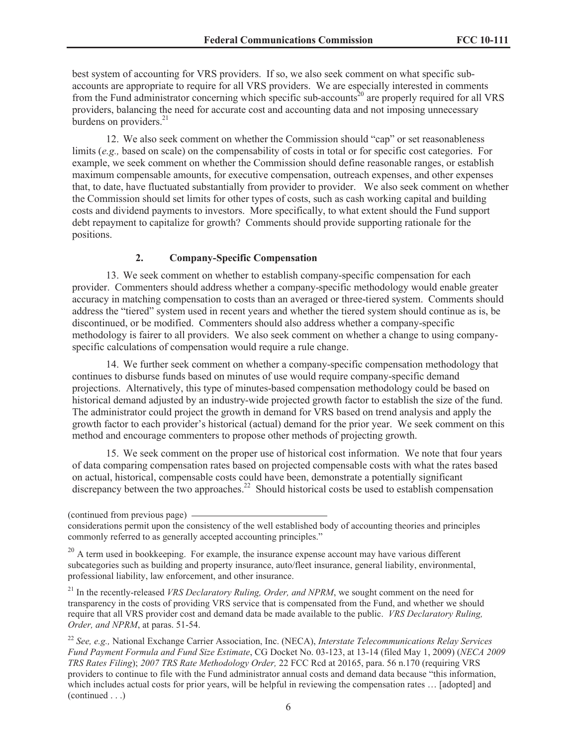best system of accounting for VRS providers. If so, we also seek comment on what specific subaccounts are appropriate to require for all VRS providers. We are especially interested in comments from the Fund administrator concerning which specific sub-accounts<sup>20</sup> are properly required for all VRS providers, balancing the need for accurate cost and accounting data and not imposing unnecessary burdens on providers. $^{21}$ 

12. We also seek comment on whether the Commission should "cap" or set reasonableness limits (*e.g.,* based on scale) on the compensability of costs in total or for specific cost categories. For example, we seek comment on whether the Commission should define reasonable ranges, or establish maximum compensable amounts, for executive compensation, outreach expenses, and other expenses that, to date, have fluctuated substantially from provider to provider. We also seek comment on whether the Commission should set limits for other types of costs, such as cash working capital and building costs and dividend payments to investors. More specifically, to what extent should the Fund support debt repayment to capitalize for growth? Comments should provide supporting rationale for the positions.

#### **2. Company-Specific Compensation**

13. We seek comment on whether to establish company-specific compensation for each provider. Commenters should address whether a company-specific methodology would enable greater accuracy in matching compensation to costs than an averaged or three-tiered system. Comments should address the "tiered" system used in recent years and whether the tiered system should continue as is, be discontinued, or be modified. Commenters should also address whether a company-specific methodology is fairer to all providers. We also seek comment on whether a change to using companyspecific calculations of compensation would require a rule change.

14. We further seek comment on whether a company-specific compensation methodology that continues to disburse funds based on minutes of use would require company-specific demand projections. Alternatively, this type of minutes-based compensation methodology could be based on historical demand adjusted by an industry-wide projected growth factor to establish the size of the fund. The administrator could project the growth in demand for VRS based on trend analysis and apply the growth factor to each provider's historical (actual) demand for the prior year. We seek comment on this method and encourage commenters to propose other methods of projecting growth.

15. We seek comment on the proper use of historical cost information. We note that four years of data comparing compensation rates based on projected compensable costs with what the rates based on actual, historical, compensable costs could have been, demonstrate a potentially significant discrepancy between the two approaches.<sup>22</sup> Should historical costs be used to establish compensation

<sup>21</sup> In the recently-released *VRS Declaratory Ruling, Order, and NPRM*, we sought comment on the need for transparency in the costs of providing VRS service that is compensated from the Fund, and whether we should require that all VRS provider cost and demand data be made available to the public. *VRS Declaratory Ruling, Order, and NPRM*, at paras. 51-54.

<sup>22</sup> *See, e.g.,* National Exchange Carrier Association, Inc. (NECA), *Interstate Telecommunications Relay Services Fund Payment Formula and Fund Size Estimate*, CG Docket No. 03-123, at 13-14 (filed May 1, 2009) (*NECA 2009 TRS Rates Filing*); *2007 TRS Rate Methodology Order,* 22 FCC Rcd at 20165, para. 56 n.170 (requiring VRS providers to continue to file with the Fund administrator annual costs and demand data because "this information, which includes actual costs for prior years, will be helpful in reviewing the compensation rates ... [adopted] and (continued . . .)

<sup>(</sup>continued from previous page)

considerations permit upon the consistency of the well established body of accounting theories and principles commonly referred to as generally accepted accounting principles."

 $20$  A term used in bookkeeping. For example, the insurance expense account may have various different subcategories such as building and property insurance, auto/fleet insurance, general liability, environmental, professional liability, law enforcement, and other insurance.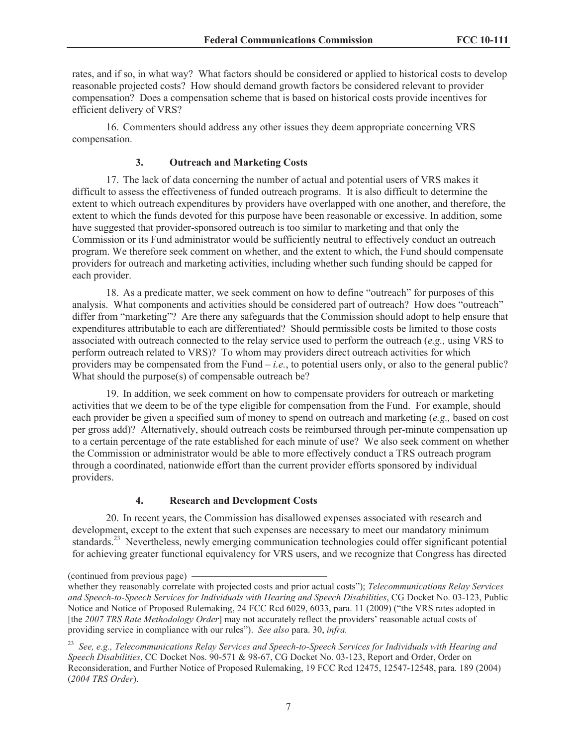rates, and if so, in what way? What factors should be considered or applied to historical costs to develop reasonable projected costs? How should demand growth factors be considered relevant to provider compensation? Does a compensation scheme that is based on historical costs provide incentives for efficient delivery of VRS?

16. Commenters should address any other issues they deem appropriate concerning VRS compensation.

## **3. Outreach and Marketing Costs**

17. The lack of data concerning the number of actual and potential users of VRS makes it difficult to assess the effectiveness of funded outreach programs. It is also difficult to determine the extent to which outreach expenditures by providers have overlapped with one another, and therefore, the extent to which the funds devoted for this purpose have been reasonable or excessive. In addition, some have suggested that provider-sponsored outreach is too similar to marketing and that only the Commission or its Fund administrator would be sufficiently neutral to effectively conduct an outreach program. We therefore seek comment on whether, and the extent to which, the Fund should compensate providers for outreach and marketing activities, including whether such funding should be capped for each provider.

18. As a predicate matter, we seek comment on how to define "outreach" for purposes of this analysis. What components and activities should be considered part of outreach? How does "outreach" differ from "marketing"? Are there any safeguards that the Commission should adopt to help ensure that expenditures attributable to each are differentiated? Should permissible costs be limited to those costs associated with outreach connected to the relay service used to perform the outreach (*e.g.,* using VRS to perform outreach related to VRS)? To whom may providers direct outreach activities for which providers may be compensated from the Fund  $-i.e.,$  to potential users only, or also to the general public? What should the purpose(s) of compensable outreach be?

19. In addition, we seek comment on how to compensate providers for outreach or marketing activities that we deem to be of the type eligible for compensation from the Fund. For example, should each provider be given a specified sum of money to spend on outreach and marketing (*e.g.,* based on cost per gross add)? Alternatively, should outreach costs be reimbursed through per-minute compensation up to a certain percentage of the rate established for each minute of use? We also seek comment on whether the Commission or administrator would be able to more effectively conduct a TRS outreach program through a coordinated, nationwide effort than the current provider efforts sponsored by individual providers.

#### **4. Research and Development Costs**

20. In recent years, the Commission has disallowed expenses associated with research and development, except to the extent that such expenses are necessary to meet our mandatory minimum standards.<sup>23</sup> Nevertheless, newly emerging communication technologies could offer significant potential for achieving greater functional equivalency for VRS users, and we recognize that Congress has directed

<sup>(</sup>continued from previous page)

whether they reasonably correlate with projected costs and prior actual costs"); *Telecommunications Relay Services and Speech-to-Speech Services for Individuals with Hearing and Speech Disabilities*, CG Docket No. 03-123, Public Notice and Notice of Proposed Rulemaking, 24 FCC Rcd 6029, 6033, para. 11 (2009) ("the VRS rates adopted in [the *2007 TRS Rate Methodology Order*] may not accurately reflect the providers' reasonable actual costs of providing service in compliance with our rules"). *See also* para. 30, *infra.*

<sup>23</sup> *See, e.g., Telecommunications Relay Services and Speech-to-Speech Services for Individuals with Hearing and Speech Disabilities*, CC Docket Nos. 90-571 & 98-67, CG Docket No. 03-123, Report and Order, Order on Reconsideration, and Further Notice of Proposed Rulemaking, 19 FCC Rcd 12475, 12547-12548, para. 189 (2004) (*2004 TRS Order*).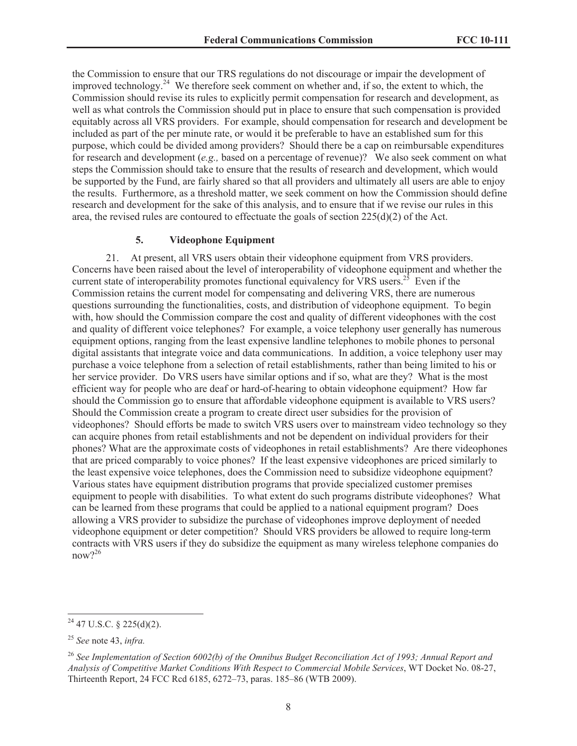the Commission to ensure that our TRS regulations do not discourage or impair the development of improved technology.<sup>24</sup> We therefore seek comment on whether and, if so, the extent to which, the Commission should revise its rules to explicitly permit compensation for research and development, as well as what controls the Commission should put in place to ensure that such compensation is provided equitably across all VRS providers. For example, should compensation for research and development be included as part of the per minute rate, or would it be preferable to have an established sum for this purpose, which could be divided among providers? Should there be a cap on reimbursable expenditures for research and development (*e.g.,* based on a percentage of revenue)? We also seek comment on what steps the Commission should take to ensure that the results of research and development, which would be supported by the Fund, are fairly shared so that all providers and ultimately all users are able to enjoy the results. Furthermore, as a threshold matter, we seek comment on how the Commission should define research and development for the sake of this analysis, and to ensure that if we revise our rules in this area, the revised rules are contoured to effectuate the goals of section  $225(d)(2)$  of the Act.

#### **5. Videophone Equipment**

21. At present, all VRS users obtain their videophone equipment from VRS providers. Concerns have been raised about the level of interoperability of videophone equipment and whether the current state of interoperability promotes functional equivalency for  $\overline{VRS}$  users.<sup>25</sup> Even if the Commission retains the current model for compensating and delivering VRS, there are numerous questions surrounding the functionalities, costs, and distribution of videophone equipment. To begin with, how should the Commission compare the cost and quality of different videophones with the cost and quality of different voice telephones? For example, a voice telephony user generally has numerous equipment options, ranging from the least expensive landline telephones to mobile phones to personal digital assistants that integrate voice and data communications. In addition, a voice telephony user may purchase a voice telephone from a selection of retail establishments, rather than being limited to his or her service provider. Do VRS users have similar options and if so, what are they? What is the most efficient way for people who are deaf or hard-of-hearing to obtain videophone equipment? How far should the Commission go to ensure that affordable videophone equipment is available to VRS users? Should the Commission create a program to create direct user subsidies for the provision of videophones? Should efforts be made to switch VRS users over to mainstream video technology so they can acquire phones from retail establishments and not be dependent on individual providers for their phones? What are the approximate costs of videophones in retail establishments? Are there videophones that are priced comparably to voice phones? If the least expensive videophones are priced similarly to the least expensive voice telephones, does the Commission need to subsidize videophone equipment? Various states have equipment distribution programs that provide specialized customer premises equipment to people with disabilities. To what extent do such programs distribute videophones? What can be learned from these programs that could be applied to a national equipment program? Does allowing a VRS provider to subsidize the purchase of videophones improve deployment of needed videophone equipment or deter competition? Should VRS providers be allowed to require long-term contracts with VRS users if they do subsidize the equipment as many wireless telephone companies do now?<sup>26</sup>

 $24$  47 U.S.C. § 225(d)(2).

<sup>25</sup> *See* note 43, *infra.*

<sup>26</sup> *See Implementation of Section 6002(b) of the Omnibus Budget Reconciliation Act of 1993; Annual Report and Analysis of Competitive Market Conditions With Respect to Commercial Mobile Services*, WT Docket No. 08-27, Thirteenth Report, 24 FCC Rcd 6185, 6272–73, paras. 185–86 (WTB 2009).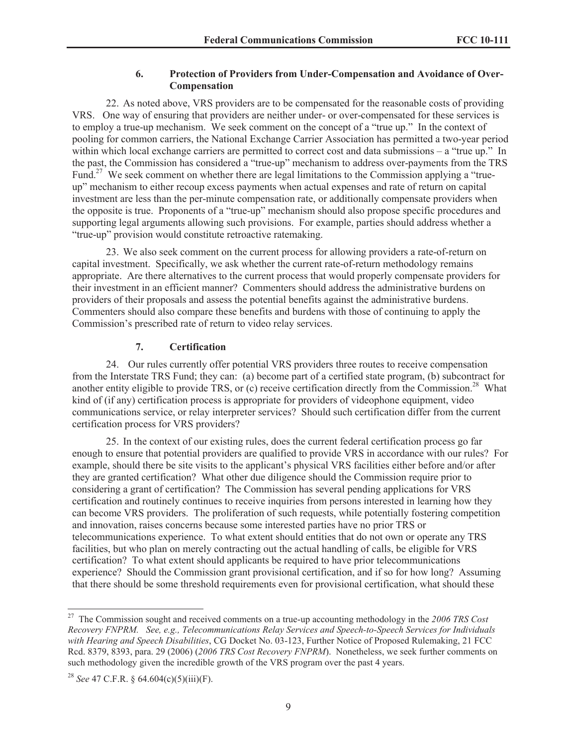#### **6. Protection of Providers from Under-Compensation and Avoidance of Over-Compensation**

22. As noted above, VRS providers are to be compensated for the reasonable costs of providing VRS. One way of ensuring that providers are neither under- or over-compensated for these services is to employ a true-up mechanism. We seek comment on the concept of a "true up." In the context of pooling for common carriers, the National Exchange Carrier Association has permitted a two-year period within which local exchange carriers are permitted to correct cost and data submissions – a "true up." In the past, the Commission has considered a "true-up" mechanism to address over-payments from the TRS Fund.<sup>27</sup> We seek comment on whether there are legal limitations to the Commission applying a "trueup" mechanism to either recoup excess payments when actual expenses and rate of return on capital investment are less than the per-minute compensation rate, or additionally compensate providers when the opposite is true. Proponents of a "true-up" mechanism should also propose specific procedures and supporting legal arguments allowing such provisions. For example, parties should address whether a "true-up" provision would constitute retroactive ratemaking.

23. We also seek comment on the current process for allowing providers a rate-of-return on capital investment. Specifically, we ask whether the current rate-of-return methodology remains appropriate. Are there alternatives to the current process that would properly compensate providers for their investment in an efficient manner? Commenters should address the administrative burdens on providers of their proposals and assess the potential benefits against the administrative burdens. Commenters should also compare these benefits and burdens with those of continuing to apply the Commission's prescribed rate of return to video relay services.

## **7. Certification**

24. Our rules currently offer potential VRS providers three routes to receive compensation from the Interstate TRS Fund; they can: (a) become part of a certified state program, (b) subcontract for another entity eligible to provide TRS, or (c) receive certification directly from the Commission.<sup>28</sup> What kind of (if any) certification process is appropriate for providers of videophone equipment, video communications service, or relay interpreter services? Should such certification differ from the current certification process for VRS providers?

25. In the context of our existing rules, does the current federal certification process go far enough to ensure that potential providers are qualified to provide VRS in accordance with our rules? For example, should there be site visits to the applicant's physical VRS facilities either before and/or after they are granted certification? What other due diligence should the Commission require prior to considering a grant of certification? The Commission has several pending applications for VRS certification and routinely continues to receive inquiries from persons interested in learning how they can become VRS providers. The proliferation of such requests, while potentially fostering competition and innovation, raises concerns because some interested parties have no prior TRS or telecommunications experience. To what extent should entities that do not own or operate any TRS facilities, but who plan on merely contracting out the actual handling of calls, be eligible for VRS certification? To what extent should applicants be required to have prior telecommunications experience? Should the Commission grant provisional certification, and if so for how long? Assuming that there should be some threshold requirements even for provisional certification, what should these

<sup>27</sup> The Commission sought and received comments on a true-up accounting methodology in the *2006 TRS Cost Recovery FNPRM. See, e.g., Telecommunications Relay Services and Speech-to-Speech Services for Individuals with Hearing and Speech Disabilities*, CG Docket No. 03-123, Further Notice of Proposed Rulemaking, 21 FCC Rcd. 8379, 8393, para. 29 (2006) (*2006 TRS Cost Recovery FNPRM*). Nonetheless, we seek further comments on such methodology given the incredible growth of the VRS program over the past 4 years.

<sup>28</sup> *See* 47 C.F.R. § 64.604(c)(5)(iii)(F).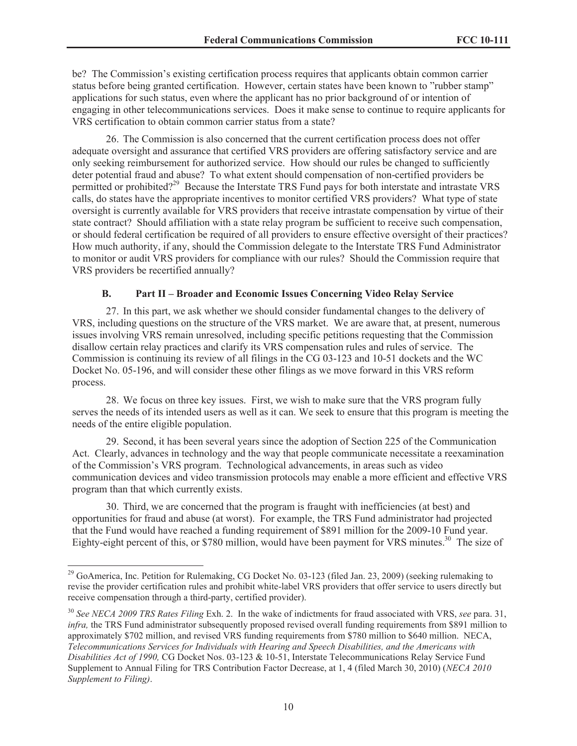be? The Commission's existing certification process requires that applicants obtain common carrier status before being granted certification. However, certain states have been known to "rubber stamp" applications for such status, even where the applicant has no prior background of or intention of engaging in other telecommunications services. Does it make sense to continue to require applicants for VRS certification to obtain common carrier status from a state?

26. The Commission is also concerned that the current certification process does not offer adequate oversight and assurance that certified VRS providers are offering satisfactory service and are only seeking reimbursement for authorized service. How should our rules be changed to sufficiently deter potential fraud and abuse? To what extent should compensation of non-certified providers be permitted or prohibited?<sup>29</sup> Because the Interstate TRS Fund pays for both interstate and intrastate VRS calls, do states have the appropriate incentives to monitor certified VRS providers? What type of state oversight is currently available for VRS providers that receive intrastate compensation by virtue of their state contract? Should affiliation with a state relay program be sufficient to receive such compensation, or should federal certification be required of all providers to ensure effective oversight of their practices? How much authority, if any, should the Commission delegate to the Interstate TRS Fund Administrator to monitor or audit VRS providers for compliance with our rules? Should the Commission require that VRS providers be recertified annually?

#### **B. Part II – Broader and Economic Issues Concerning Video Relay Service**

27. In this part, we ask whether we should consider fundamental changes to the delivery of VRS, including questions on the structure of the VRS market. We are aware that, at present, numerous issues involving VRS remain unresolved, including specific petitions requesting that the Commission disallow certain relay practices and clarify its VRS compensation rules and rules of service. The Commission is continuing its review of all filings in the CG 03-123 and 10-51 dockets and the WC Docket No. 05-196, and will consider these other filings as we move forward in this VRS reform process.

28. We focus on three key issues. First, we wish to make sure that the VRS program fully serves the needs of its intended users as well as it can. We seek to ensure that this program is meeting the needs of the entire eligible population.

29. Second, it has been several years since the adoption of Section 225 of the Communication Act. Clearly, advances in technology and the way that people communicate necessitate a reexamination of the Commission's VRS program. Technological advancements, in areas such as video communication devices and video transmission protocols may enable a more efficient and effective VRS program than that which currently exists.

30. Third, we are concerned that the program is fraught with inefficiencies (at best) and opportunities for fraud and abuse (at worst). For example, the TRS Fund administrator had projected that the Fund would have reached a funding requirement of \$891 million for the 2009-10 Fund year. Eighty-eight percent of this, or \$780 million, would have been payment for VRS minutes.<sup>30</sup> The size of

<sup>&</sup>lt;sup>29</sup> GoAmerica, Inc. Petition for Rulemaking, CG Docket No. 03-123 (filed Jan. 23, 2009) (seeking rulemaking to revise the provider certification rules and prohibit white-label VRS providers that offer service to users directly but receive compensation through a third-party, certified provider).

<sup>30</sup> *See NECA 2009 TRS Rates Filing* Exh. 2. In the wake of indictments for fraud associated with VRS, *see* para. 31, *infra,* the TRS Fund administrator subsequently proposed revised overall funding requirements from \$891 million to approximately \$702 million, and revised VRS funding requirements from \$780 million to \$640 million. NECA, *Telecommunications Services for Individuals with Hearing and Speech Disabilities, and the Americans with Disabilities Act of 1990,* CG Docket Nos. 03-123 & 10-51, Interstate Telecommunications Relay Service Fund Supplement to Annual Filing for TRS Contribution Factor Decrease, at 1, 4 (filed March 30, 2010) (*NECA 2010 Supplement to Filing)*.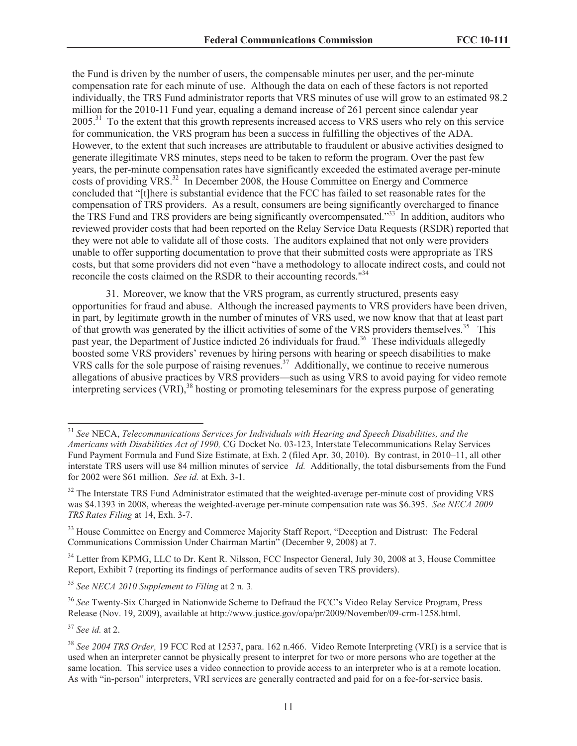the Fund is driven by the number of users, the compensable minutes per user, and the per-minute compensation rate for each minute of use. Although the data on each of these factors is not reported individually, the TRS Fund administrator reports that VRS minutes of use will grow to an estimated 98.2 million for the 2010-11 Fund year, equaling a demand increase of 261 percent since calendar year 2005<sup>31</sup> To the extent that this growth represents increased access to VRS users who rely on this service for communication, the VRS program has been a success in fulfilling the objectives of the ADA. However, to the extent that such increases are attributable to fraudulent or abusive activities designed to generate illegitimate VRS minutes, steps need to be taken to reform the program. Over the past few years, the per-minute compensation rates have significantly exceeded the estimated average per-minute costs of providing VRS.<sup>32</sup> In December 2008, the House Committee on Energy and Commerce concluded that "[t]here is substantial evidence that the FCC has failed to set reasonable rates for the compensation of TRS providers. As a result, consumers are being significantly overcharged to finance the TRS Fund and TRS providers are being significantly overcompensated.<sup>33</sup> In addition, auditors who reviewed provider costs that had been reported on the Relay Service Data Requests (RSDR) reported that they were not able to validate all of those costs. The auditors explained that not only were providers unable to offer supporting documentation to prove that their submitted costs were appropriate as TRS costs, but that some providers did not even "have a methodology to allocate indirect costs, and could not reconcile the costs claimed on the RSDR to their accounting records."<sup>34</sup>

31. Moreover, we know that the VRS program, as currently structured, presents easy opportunities for fraud and abuse. Although the increased payments to VRS providers have been driven, in part, by legitimate growth in the number of minutes of VRS used, we now know that that at least part of that growth was generated by the illicit activities of some of the VRS providers themselves.<sup>35</sup> This past year, the Department of Justice indicted 26 individuals for fraud.<sup>36</sup> These individuals allegedly boosted some VRS providers' revenues by hiring persons with hearing or speech disabilities to make VRS calls for the sole purpose of raising revenues.<sup>37</sup> Additionally, we continue to receive numerous allegations of abusive practices by VRS providers—such as using VRS to avoid paying for video remote interpreting services  $(\overline{VRI})$ ,<sup>38</sup> hosting or promoting teleseminars for the express purpose of generating

<sup>35</sup> *See NECA 2010 Supplement to Filing* at 2 n. 3*.*

<sup>36</sup> *See* Twenty-Six Charged in Nationwide Scheme to Defraud the FCC's Video Relay Service Program, Press Release (Nov. 19, 2009), available at http://www.justice.gov/opa/pr/2009/November/09-crm-1258.html.

<sup>37</sup> *See id.* at 2.

<sup>31</sup> *See* NECA, *Telecommunications Services for Individuals with Hearing and Speech Disabilities, and the Americans with Disabilities Act of 1990,* CG Docket No. 03-123, Interstate Telecommunications Relay Services Fund Payment Formula and Fund Size Estimate, at Exh. 2 (filed Apr. 30, 2010). By contrast, in 2010–11, all other interstate TRS users will use 84 million minutes of service *Id.* Additionally, the total disbursements from the Fund for 2002 were \$61 million. *See id.* at Exh. 3-1.

<sup>&</sup>lt;sup>32</sup> The Interstate TRS Fund Administrator estimated that the weighted-average per-minute cost of providing VRS was \$4.1393 in 2008, whereas the weighted-average per-minute compensation rate was \$6.395. *See NECA 2009 TRS Rates Filing* at 14, Exh. 3-7.

<sup>&</sup>lt;sup>33</sup> House Committee on Energy and Commerce Majority Staff Report, "Deception and Distrust: The Federal Communications Commission Under Chairman Martin" (December 9, 2008) at 7.

<sup>&</sup>lt;sup>34</sup> Letter from KPMG, LLC to Dr. Kent R. Nilsson, FCC Inspector General, July 30, 2008 at 3, House Committee Report, Exhibit 7 (reporting its findings of performance audits of seven TRS providers).

<sup>38</sup> *See 2004 TRS Order,* 19 FCC Rcd at 12537, para. 162 n.466. Video Remote Interpreting (VRI) is a service that is used when an interpreter cannot be physically present to interpret for two or more persons who are together at the same location. This service uses a video connection to provide access to an interpreter who is at a remote location. As with "in-person" interpreters, VRI services are generally contracted and paid for on a fee-for-service basis.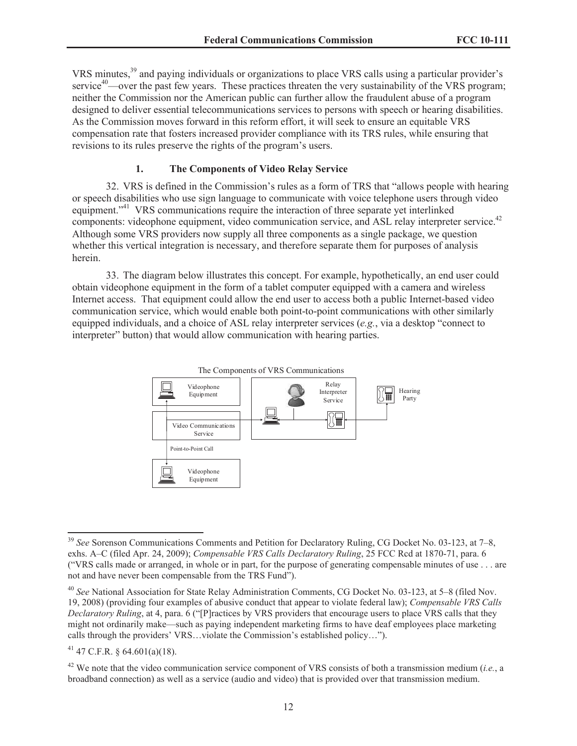VRS minutes,<sup>39</sup> and paying individuals or organizations to place VRS calls using a particular provider's service<sup>40</sup>—over the past few years. These practices threaten the very sustainability of the VRS program; neither the Commission nor the American public can further allow the fraudulent abuse of a program designed to deliver essential telecommunications services to persons with speech or hearing disabilities. As the Commission moves forward in this reform effort, it will seek to ensure an equitable VRS compensation rate that fosters increased provider compliance with its TRS rules, while ensuring that revisions to its rules preserve the rights of the program's users.

## **1. The Components of Video Relay Service**

32. VRS is defined in the Commission's rules as a form of TRS that "allows people with hearing or speech disabilities who use sign language to communicate with voice telephone users through video equipment."<sup>41</sup> VRS communications require the interaction of three separate yet interlinked components: videophone equipment, video communication service, and ASL relay interpreter service.<sup>42</sup> Although some VRS providers now supply all three components as a single package, we question whether this vertical integration is necessary, and therefore separate them for purposes of analysis herein.

33. The diagram below illustrates this concept. For example, hypothetically, an end user could obtain videophone equipment in the form of a tablet computer equipped with a camera and wireless Internet access. That equipment could allow the end user to access both a public Internet-based video communication service, which would enable both point-to-point communications with other similarly equipped individuals, and a choice of ASL relay interpreter services (*e.g.*, via a desktop "connect to interpreter" button) that would allow communication with hearing parties.



 $41$  47 C.F.R. § 64.601(a)(18).

<sup>&</sup>lt;sup>39</sup> See Sorenson Communications Comments and Petition for Declaratory Ruling, CG Docket No. 03-123, at 7–8, exhs. A–C (filed Apr. 24, 2009); *Compensable VRS Calls Declaratory Ruling*, 25 FCC Rcd at 1870-71, para. 6 ("VRS calls made or arranged, in whole or in part, for the purpose of generating compensable minutes of use . . . are not and have never been compensable from the TRS Fund").

<sup>40</sup> *See* National Association for State Relay Administration Comments, CG Docket No. 03-123, at 5–8 (filed Nov. 19, 2008) (providing four examples of abusive conduct that appear to violate federal law); *Compensable VRS Calls Declaratory Ruling*, at 4, para. 6 ("[P]ractices by VRS providers that encourage users to place VRS calls that they might not ordinarily make—such as paying independent marketing firms to have deaf employees place marketing calls through the providers' VRS…violate the Commission's established policy…").

<sup>42</sup> We note that the video communication service component of VRS consists of both a transmission medium (*i.e.*, a broadband connection) as well as a service (audio and video) that is provided over that transmission medium.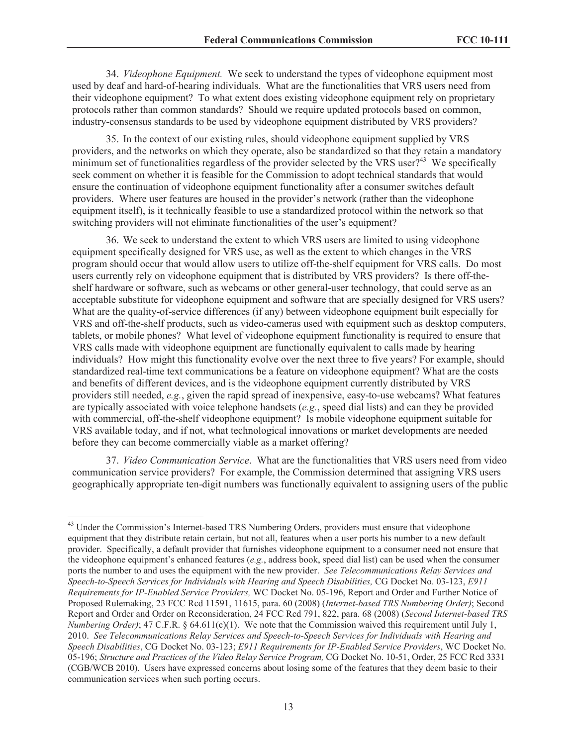34. *Videophone Equipment.* We seek to understand the types of videophone equipment most used by deaf and hard-of-hearing individuals. What are the functionalities that VRS users need from their videophone equipment? To what extent does existing videophone equipment rely on proprietary protocols rather than common standards? Should we require updated protocols based on common, industry-consensus standards to be used by videophone equipment distributed by VRS providers?

35. In the context of our existing rules, should videophone equipment supplied by VRS providers, and the networks on which they operate, also be standardized so that they retain a mandatory minimum set of functionalities regardless of the provider selected by the VRS user $2^{43}$  We specifically seek comment on whether it is feasible for the Commission to adopt technical standards that would ensure the continuation of videophone equipment functionality after a consumer switches default providers. Where user features are housed in the provider's network (rather than the videophone equipment itself), is it technically feasible to use a standardized protocol within the network so that switching providers will not eliminate functionalities of the user's equipment?

36. We seek to understand the extent to which VRS users are limited to using videophone equipment specifically designed for VRS use, as well as the extent to which changes in the VRS program should occur that would allow users to utilize off-the-shelf equipment for VRS calls. Do most users currently rely on videophone equipment that is distributed by VRS providers? Is there off-theshelf hardware or software, such as webcams or other general-user technology, that could serve as an acceptable substitute for videophone equipment and software that are specially designed for VRS users? What are the quality-of-service differences (if any) between videophone equipment built especially for VRS and off-the-shelf products, such as video-cameras used with equipment such as desktop computers, tablets, or mobile phones? What level of videophone equipment functionality is required to ensure that VRS calls made with videophone equipment are functionally equivalent to calls made by hearing individuals? How might this functionality evolve over the next three to five years? For example, should standardized real-time text communications be a feature on videophone equipment? What are the costs and benefits of different devices, and is the videophone equipment currently distributed by VRS providers still needed, *e.g.*, given the rapid spread of inexpensive, easy-to-use webcams? What features are typically associated with voice telephone handsets (*e.g.*, speed dial lists) and can they be provided with commercial, off-the-shelf videophone equipment? Is mobile videophone equipment suitable for VRS available today, and if not, what technological innovations or market developments are needed before they can become commercially viable as a market offering?

37. *Video Communication Service*. What are the functionalities that VRS users need from video communication service providers? For example, the Commission determined that assigning VRS users geographically appropriate ten-digit numbers was functionally equivalent to assigning users of the public

<sup>&</sup>lt;sup>43</sup> Under the Commission's Internet-based TRS Numbering Orders, providers must ensure that videophone equipment that they distribute retain certain, but not all, features when a user ports his number to a new default provider. Specifically, a default provider that furnishes videophone equipment to a consumer need not ensure that the videophone equipment's enhanced features (*e.g.*, address book, speed dial list) can be used when the consumer ports the number to and uses the equipment with the new provider. *See Telecommunications Relay Services and Speech-to-Speech Services for Individuals with Hearing and Speech Disabilities,* CG Docket No. 03-123, *E911 Requirements for IP-Enabled Service Providers,* WC Docket No. 05-196, Report and Order and Further Notice of Proposed Rulemaking, 23 FCC Rcd 11591, 11615, para. 60 (2008) (*Internet-based TRS Numbering Order)*; Second Report and Order and Order on Reconsideration, 24 FCC Rcd 791, 822, para. 68 (2008) (*Second Internet-based TRS Numbering Order)*; 47 C.F.R. § 64.611(c)(1). We note that the Commission waived this requirement until July 1, 2010. *See Telecommunications Relay Services and Speech-to-Speech Services for Individuals with Hearing and Speech Disabilities*, CG Docket No. 03-123; *E911 Requirements for IP-Enabled Service Providers*, WC Docket No. 05-196; *Structure and Practices of the Video Relay Service Program,* CG Docket No. 10-51, Order, 25 FCC Rcd 3331 (CGB/WCB 2010). Users have expressed concerns about losing some of the features that they deem basic to their communication services when such porting occurs.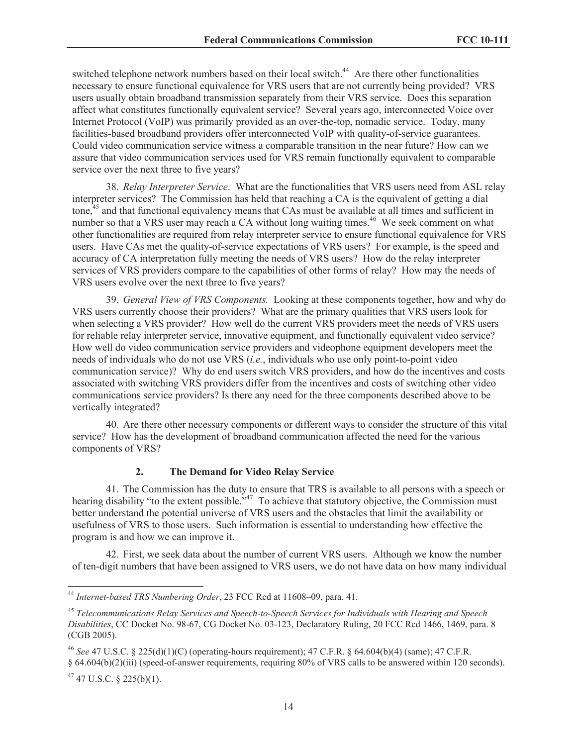switched telephone network numbers based on their local switch.<sup>44</sup> Are there other functionalities necessary to ensure functional equivalence for VRS users that are not currently being provided? VRS users usually obtain broadband transmission separately from their VRS service. Does this separation affect what constitutes functionally equivalent service? Several years ago, interconnected Voice over Internet Protocol (VoIP) was primarily provided as an over-the-top, nomadic service. Today, many facilities-based broadband providers offer interconnected VoIP with quality-of-service guarantees. Could video communication service witness a comparable transition in the near future? How can we assure that video communication services used for VRS remain functionally equivalent to comparable service over the next three to five years?

38. *Relay Interpreter Service*. What are the functionalities that VRS users need from ASL relay interpreter services? The Commission has held that reaching a CA is the equivalent of getting a dial tone,<sup>45</sup> and that functional equivalency means that CAs must be available at all times and sufficient in number so that a VRS user may reach a CA without long waiting times.<sup>46</sup> We seek comment on what other functionalities are required from relay interpreter service to ensure functional equivalence for VRS users. Have CAs met the quality-of-service expectations of VRS users? For example, is the speed and accuracy of CA interpretation fully meeting the needs of VRS users? How do the relay interpreter services of VRS providers compare to the capabilities of other forms of relay? How may the needs of VRS users evolve over the next three to five years?

39. *General View of VRS Components.* Looking at these components together, how and why do VRS users currently choose their providers? What are the primary qualities that VRS users look for when selecting a VRS provider? How well do the current VRS providers meet the needs of VRS users for reliable relay interpreter service, innovative equipment, and functionally equivalent video service? How well do video communication service providers and videophone equipment developers meet the needs of individuals who do not use VRS (*i.e.*, individuals who use only point-to-point video communication service)? Why do end users switch VRS providers, and how do the incentives and costs associated with switching VRS providers differ from the incentives and costs of switching other video communications service providers? Is there any need for the three components described above to be vertically integrated?

40. Are there other necessary components or different ways to consider the structure of this vital service? How has the development of broadband communication affected the need for the various components of VRS?

#### **2. The Demand for Video Relay Service**

41. The Commission has the duty to ensure that TRS is available to all persons with a speech or hearing disability "to the extent possible."<sup>47</sup> To achieve that statutory objective, the Commission must better understand the potential universe of VRS users and the obstacles that limit the availability or usefulness of VRS to those users. Such information is essential to understanding how effective the program is and how we can improve it.

42. First, we seek data about the number of current VRS users. Although we know the number of ten-digit numbers that have been assigned to VRS users, we do not have data on how many individual

<sup>44</sup> *Internet-based TRS Numbering Order*, 23 FCC Rcd at 11608–09, para. 41.

<sup>45</sup> *Telecommunications Relay Services and Speech-to-Speech Services for Individuals with Hearing and Speech Disabilities*, CC Docket No. 98-67, CG Docket No. 03-123, Declaratory Ruling, 20 FCC Rcd 1466, 1469, para. 8 (CGB 2005).

<sup>46</sup> *See* 47 U.S.C. § 225(d)(1)(C) (operating-hours requirement); 47 C.F.R. § 64.604(b)(4) (same); 47 C.F.R. § 64.604(b)(2)(iii) (speed-of-answer requirements, requiring 80% of VRS calls to be answered within 120 seconds).

 $47$  47 U.S.C. § 225(b)(1).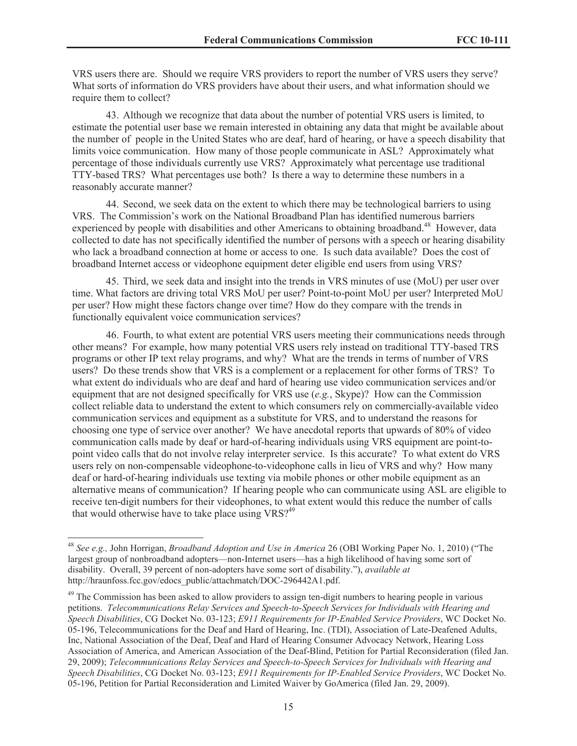VRS users there are. Should we require VRS providers to report the number of VRS users they serve? What sorts of information do VRS providers have about their users, and what information should we require them to collect?

43. Although we recognize that data about the number of potential VRS users is limited, to estimate the potential user base we remain interested in obtaining any data that might be available about the number of people in the United States who are deaf, hard of hearing, or have a speech disability that limits voice communication. How many of those people communicate in ASL? Approximately what percentage of those individuals currently use VRS? Approximately what percentage use traditional TTY-based TRS? What percentages use both? Is there a way to determine these numbers in a reasonably accurate manner?

44. Second, we seek data on the extent to which there may be technological barriers to using VRS. The Commission's work on the National Broadband Plan has identified numerous barriers experienced by people with disabilities and other Americans to obtaining broadband.<sup>48</sup> However, data collected to date has not specifically identified the number of persons with a speech or hearing disability who lack a broadband connection at home or access to one. Is such data available? Does the cost of broadband Internet access or videophone equipment deter eligible end users from using VRS?

45. Third, we seek data and insight into the trends in VRS minutes of use (MoU) per user over time. What factors are driving total VRS MoU per user? Point-to-point MoU per user? Interpreted MoU per user? How might these factors change over time? How do they compare with the trends in functionally equivalent voice communication services?

46. Fourth, to what extent are potential VRS users meeting their communications needs through other means? For example, how many potential VRS users rely instead on traditional TTY-based TRS programs or other IP text relay programs, and why? What are the trends in terms of number of VRS users? Do these trends show that VRS is a complement or a replacement for other forms of TRS? To what extent do individuals who are deaf and hard of hearing use video communication services and/or equipment that are not designed specifically for VRS use (*e.g.*, Skype)? How can the Commission collect reliable data to understand the extent to which consumers rely on commercially-available video communication services and equipment as a substitute for VRS, and to understand the reasons for choosing one type of service over another? We have anecdotal reports that upwards of 80% of video communication calls made by deaf or hard-of-hearing individuals using VRS equipment are point-topoint video calls that do not involve relay interpreter service. Is this accurate? To what extent do VRS users rely on non-compensable videophone-to-videophone calls in lieu of VRS and why? How many deaf or hard-of-hearing individuals use texting via mobile phones or other mobile equipment as an alternative means of communication? If hearing people who can communicate using ASL are eligible to receive ten-digit numbers for their videophones, to what extent would this reduce the number of calls that would otherwise have to take place using  $VRS<sup>49</sup>$ 

<sup>48</sup> *See e.g.,* John Horrigan, *Broadband Adoption and Use in America* 26 (OBI Working Paper No. 1, 2010) ("The largest group of nonbroadband adopters—non-Internet users—has a high likelihood of having some sort of disability. Overall, 39 percent of non-adopters have some sort of disability."), *available at* http://hraunfoss.fcc.gov/edocs\_public/attachmatch/DOC-296442A1.pdf.

<sup>&</sup>lt;sup>49</sup> The Commission has been asked to allow providers to assign ten-digit numbers to hearing people in various petitions. *Telecommunications Relay Services and Speech-to-Speech Services for Individuals with Hearing and Speech Disabilities*, CG Docket No. 03-123; *E911 Requirements for IP-Enabled Service Providers*, WC Docket No. 05-196, Telecommunications for the Deaf and Hard of Hearing, Inc. (TDI), Association of Late-Deafened Adults, Inc, National Association of the Deaf, Deaf and Hard of Hearing Consumer Advocacy Network, Hearing Loss Association of America, and American Association of the Deaf-Blind, Petition for Partial Reconsideration (filed Jan. 29, 2009); *Telecommunications Relay Services and Speech-to-Speech Services for Individuals with Hearing and Speech Disabilities*, CG Docket No. 03-123; *E911 Requirements for IP-Enabled Service Providers*, WC Docket No. 05-196, Petition for Partial Reconsideration and Limited Waiver by GoAmerica (filed Jan. 29, 2009).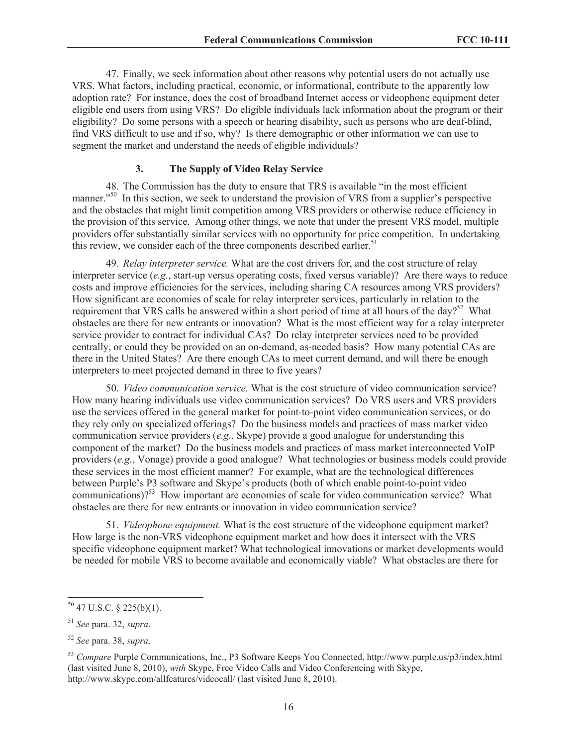47. Finally, we seek information about other reasons why potential users do not actually use VRS. What factors, including practical, economic, or informational, contribute to the apparently low adoption rate? For instance, does the cost of broadband Internet access or videophone equipment deter eligible end users from using VRS? Do eligible individuals lack information about the program or their eligibility? Do some persons with a speech or hearing disability, such as persons who are deaf-blind, find VRS difficult to use and if so, why? Is there demographic or other information we can use to segment the market and understand the needs of eligible individuals?

#### **3. The Supply of Video Relay Service**

48. The Commission has the duty to ensure that TRS is available "in the most efficient manner."<sup>50</sup> In this section, we seek to understand the provision of VRS from a supplier's perspective and the obstacles that might limit competition among VRS providers or otherwise reduce efficiency in the provision of this service. Among other things, we note that under the present VRS model, multiple providers offer substantially similar services with no opportunity for price competition. In undertaking this review, we consider each of the three components described earlier.<sup>51</sup>

49. *Relay interpreter service.* What are the cost drivers for, and the cost structure of relay interpreter service (*e.g.*, start-up versus operating costs, fixed versus variable)? Are there ways to reduce costs and improve efficiencies for the services, including sharing CA resources among VRS providers? How significant are economies of scale for relay interpreter services, particularly in relation to the requirement that VRS calls be answered within a short period of time at all hours of the day?<sup>52</sup> What obstacles are there for new entrants or innovation? What is the most efficient way for a relay interpreter service provider to contract for individual CAs? Do relay interpreter services need to be provided centrally, or could they be provided on an on-demand, as-needed basis? How many potential CAs are there in the United States? Are there enough CAs to meet current demand, and will there be enough interpreters to meet projected demand in three to five years?

50. *Video communication service.* What is the cost structure of video communication service? How many hearing individuals use video communication services? Do VRS users and VRS providers use the services offered in the general market for point-to-point video communication services, or do they rely only on specialized offerings? Do the business models and practices of mass market video communication service providers (*e.g.*, Skype) provide a good analogue for understanding this component of the market? Do the business models and practices of mass market interconnected VoIP providers (*e.g.*, Vonage) provide a good analogue? What technologies or business models could provide these services in the most efficient manner? For example, what are the technological differences between Purple's P3 software and Skype's products (both of which enable point-to-point video communications)?<sup>53</sup> How important are economies of scale for video communication service? What obstacles are there for new entrants or innovation in video communication service?

51. *Videophone equipment.* What is the cost structure of the videophone equipment market? How large is the non-VRS videophone equipment market and how does it intersect with the VRS specific videophone equipment market? What technological innovations or market developments would be needed for mobile VRS to become available and economically viable? What obstacles are there for

 $50$  47 U.S.C. § 225(b)(1).

<sup>51</sup> *See* para. 32, *supra*.

<sup>52</sup> *See* para. 38, *supra*.

<sup>53</sup> *Compare* Purple Communications, Inc., P3 Software Keeps You Connected, http://www.purple.us/p3/index.html (last visited June 8, 2010), *with* Skype, Free Video Calls and Video Conferencing with Skype, http://www.skype.com/allfeatures/videocall/ (last visited June 8, 2010).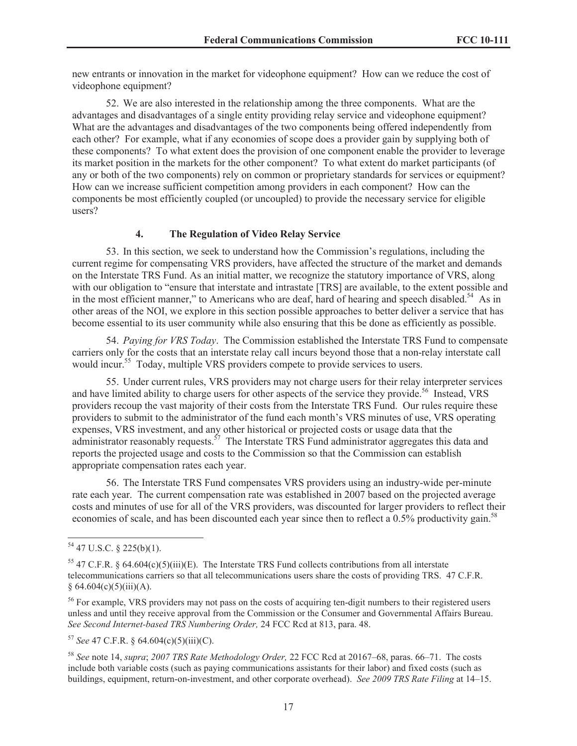new entrants or innovation in the market for videophone equipment? How can we reduce the cost of videophone equipment?

52. We are also interested in the relationship among the three components. What are the advantages and disadvantages of a single entity providing relay service and videophone equipment? What are the advantages and disadvantages of the two components being offered independently from each other? For example, what if any economies of scope does a provider gain by supplying both of these components? To what extent does the provision of one component enable the provider to leverage its market position in the markets for the other component? To what extent do market participants (of any or both of the two components) rely on common or proprietary standards for services or equipment? How can we increase sufficient competition among providers in each component? How can the components be most efficiently coupled (or uncoupled) to provide the necessary service for eligible users?

#### **4. The Regulation of Video Relay Service**

53. In this section, we seek to understand how the Commission's regulations, including the current regime for compensating VRS providers, have affected the structure of the market and demands on the Interstate TRS Fund. As an initial matter, we recognize the statutory importance of VRS, along with our obligation to "ensure that interstate and intrastate [TRS] are available, to the extent possible and in the most efficient manner," to Americans who are deaf, hard of hearing and speech disabled.<sup>54</sup> As in other areas of the NOI, we explore in this section possible approaches to better deliver a service that has become essential to its user community while also ensuring that this be done as efficiently as possible.

54. *Paying for VRS Today*. The Commission established the Interstate TRS Fund to compensate carriers only for the costs that an interstate relay call incurs beyond those that a non-relay interstate call would incur.<sup>55</sup> Today, multiple VRS providers compete to provide services to users.

55. Under current rules, VRS providers may not charge users for their relay interpreter services and have limited ability to charge users for other aspects of the service they provide.<sup>56</sup> Instead, VRS providers recoup the vast majority of their costs from the Interstate TRS Fund. Our rules require these providers to submit to the administrator of the fund each month's VRS minutes of use, VRS operating expenses, VRS investment, and any other historical or projected costs or usage data that the administrator reasonably requests.<sup>57</sup> The Interstate TRS Fund administrator aggregates this data and reports the projected usage and costs to the Commission so that the Commission can establish appropriate compensation rates each year.

56. The Interstate TRS Fund compensates VRS providers using an industry-wide per-minute rate each year. The current compensation rate was established in 2007 based on the projected average costs and minutes of use for all of the VRS providers, was discounted for larger providers to reflect their economies of scale, and has been discounted each year since then to reflect a 0.5% productivity gain.<sup>58</sup>

 $54$  47 U.S.C. § 225(b)(1).

<sup>&</sup>lt;sup>55</sup> 47 C.F.R. § 64.604(c)(5)(iii)(E). The Interstate TRS Fund collects contributions from all interstate telecommunications carriers so that all telecommunications users share the costs of providing TRS. 47 C.F.R.  $§ 64.604(c)(5)(iii)(A).$ 

<sup>&</sup>lt;sup>56</sup> For example, VRS providers may not pass on the costs of acquiring ten-digit numbers to their registered users unless and until they receive approval from the Commission or the Consumer and Governmental Affairs Bureau. *See Second Internet-based TRS Numbering Order,* 24 FCC Rcd at 813, para. 48.

<sup>57</sup> *See* 47 C.F.R. § 64.604(c)(5)(iii)(C).

<sup>58</sup> *See* note 14, *supra*; *2007 TRS Rate Methodology Order,* 22 FCC Rcd at 20167–68, paras. 66–71. The costs include both variable costs (such as paying communications assistants for their labor) and fixed costs (such as buildings, equipment, return-on-investment, and other corporate overhead). *See 2009 TRS Rate Filing* at 14–15.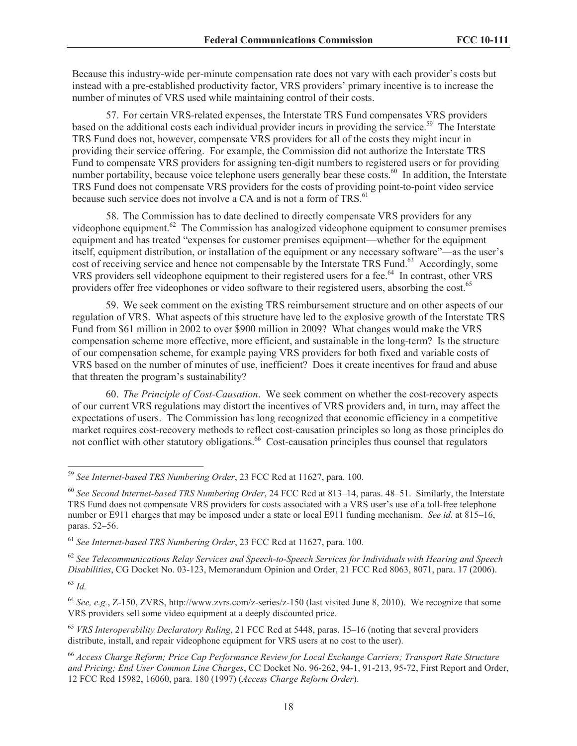Because this industry-wide per-minute compensation rate does not vary with each provider's costs but instead with a pre-established productivity factor, VRS providers' primary incentive is to increase the number of minutes of VRS used while maintaining control of their costs.

57. For certain VRS-related expenses, the Interstate TRS Fund compensates VRS providers based on the additional costs each individual provider incurs in providing the service.<sup>59</sup> The Interstate TRS Fund does not, however, compensate VRS providers for all of the costs they might incur in providing their service offering. For example, the Commission did not authorize the Interstate TRS Fund to compensate VRS providers for assigning ten-digit numbers to registered users or for providing number portability, because voice telephone users generally bear these costs.<sup>60</sup> In addition, the Interstate TRS Fund does not compensate VRS providers for the costs of providing point-to-point video service because such service does not involve a CA and is not a form of TRS.<sup>61</sup>

58. The Commission has to date declined to directly compensate VRS providers for any videophone equipment.<sup>62</sup> The Commission has analogized videophone equipment to consumer premises equipment and has treated "expenses for customer premises equipment—whether for the equipment itself, equipment distribution, or installation of the equipment or any necessary software"—as the user's cost of receiving service and hence not compensable by the Interstate TRS Fund.<sup>63</sup> Accordingly, some VRS providers sell videophone equipment to their registered users for a fee.<sup>64</sup> In contrast, other VRS providers offer free videophones or video software to their registered users, absorbing the cost.<sup>65</sup>

59. We seek comment on the existing TRS reimbursement structure and on other aspects of our regulation of VRS. What aspects of this structure have led to the explosive growth of the Interstate TRS Fund from \$61 million in 2002 to over \$900 million in 2009? What changes would make the VRS compensation scheme more effective, more efficient, and sustainable in the long-term? Is the structure of our compensation scheme, for example paying VRS providers for both fixed and variable costs of VRS based on the number of minutes of use, inefficient? Does it create incentives for fraud and abuse that threaten the program's sustainability?

60. *The Principle of Cost-Causation*. We seek comment on whether the cost-recovery aspects of our current VRS regulations may distort the incentives of VRS providers and, in turn, may affect the expectations of users. The Commission has long recognized that economic efficiency in a competitive market requires cost-recovery methods to reflect cost-causation principles so long as those principles do not conflict with other statutory obligations.<sup>66</sup> Cost-causation principles thus counsel that regulators

<sup>62</sup> *See Telecommunications Relay Services and Speech-to-Speech Services for Individuals with Hearing and Speech Disabilities*, CG Docket No. 03-123, Memorandum Opinion and Order, 21 FCC Rcd 8063, 8071, para. 17 (2006).

<sup>64</sup> *See, e.g.*, Z-150, ZVRS, http://www.zvrs.com/z-series/z-150 (last visited June 8, 2010). We recognize that some VRS providers sell some video equipment at a deeply discounted price.

<sup>65</sup> *VRS Interoperability Declaratory Ruling*, 21 FCC Rcd at 5448, paras. 15–16 (noting that several providers distribute, install, and repair videophone equipment for VRS users at no cost to the user).

<sup>66</sup> *Access Charge Reform; Price Cap Performance Review for Local Exchange Carriers; Transport Rate Structure and Pricing; End User Common Line Charges*, CC Docket No. 96-262, 94-1, 91-213, 95-72, First Report and Order, 12 FCC Rcd 15982, 16060, para. 180 (1997) (*Access Charge Reform Order*).

<sup>59</sup> *See Internet-based TRS Numbering Order*, 23 FCC Rcd at 11627, para. 100.

<sup>60</sup> *See Second Internet-based TRS Numbering Order*, 24 FCC Rcd at 813–14, paras. 48–51. Similarly, the Interstate TRS Fund does not compensate VRS providers for costs associated with a VRS user's use of a toll-free telephone number or E911 charges that may be imposed under a state or local E911 funding mechanism. *See id.* at 815–16, paras. 52–56.

<sup>61</sup> *See Internet-based TRS Numbering Order*, 23 FCC Rcd at 11627, para. 100.

<sup>63</sup> *Id.*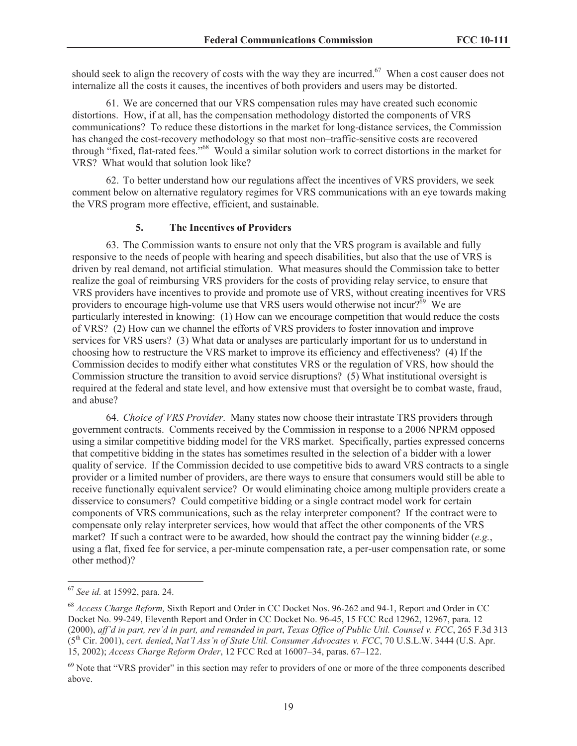should seek to align the recovery of costs with the way they are incurred.<sup>67</sup> When a cost causer does not internalize all the costs it causes, the incentives of both providers and users may be distorted.

61. We are concerned that our VRS compensation rules may have created such economic distortions. How, if at all, has the compensation methodology distorted the components of VRS communications? To reduce these distortions in the market for long-distance services, the Commission has changed the cost-recovery methodology so that most non–traffic-sensitive costs are recovered through "fixed, flat-rated fees."<sup>68</sup> Would a similar solution work to correct distortions in the market for VRS? What would that solution look like?

62. To better understand how our regulations affect the incentives of VRS providers, we seek comment below on alternative regulatory regimes for VRS communications with an eye towards making the VRS program more effective, efficient, and sustainable.

## **5. The Incentives of Providers**

63. The Commission wants to ensure not only that the VRS program is available and fully responsive to the needs of people with hearing and speech disabilities, but also that the use of VRS is driven by real demand, not artificial stimulation. What measures should the Commission take to better realize the goal of reimbursing VRS providers for the costs of providing relay service, to ensure that VRS providers have incentives to provide and promote use of VRS, without creating incentives for VRS providers to encourage high-volume use that VRS users would otherwise not incur? $\delta^6$  We are particularly interested in knowing: (1) How can we encourage competition that would reduce the costs of VRS? (2) How can we channel the efforts of VRS providers to foster innovation and improve services for VRS users? (3) What data or analyses are particularly important for us to understand in choosing how to restructure the VRS market to improve its efficiency and effectiveness? (4) If the Commission decides to modify either what constitutes VRS or the regulation of VRS, how should the Commission structure the transition to avoid service disruptions? (5) What institutional oversight is required at the federal and state level, and how extensive must that oversight be to combat waste, fraud, and abuse?

64. *Choice of VRS Provider*. Many states now choose their intrastate TRS providers through government contracts. Comments received by the Commission in response to a 2006 NPRM opposed using a similar competitive bidding model for the VRS market. Specifically, parties expressed concerns that competitive bidding in the states has sometimes resulted in the selection of a bidder with a lower quality of service. If the Commission decided to use competitive bids to award VRS contracts to a single provider or a limited number of providers, are there ways to ensure that consumers would still be able to receive functionally equivalent service? Or would eliminating choice among multiple providers create a disservice to consumers? Could competitive bidding or a single contract model work for certain components of VRS communications, such as the relay interpreter component? If the contract were to compensate only relay interpreter services, how would that affect the other components of the VRS market? If such a contract were to be awarded, how should the contract pay the winning bidder (*e.g.*, using a flat, fixed fee for service, a per-minute compensation rate, a per-user compensation rate, or some other method)?

<sup>67</sup> *See id.* at 15992, para. 24.

<sup>68</sup> *Access Charge Reform,* Sixth Report and Order in CC Docket Nos. 96-262 and 94-1, Report and Order in CC Docket No. 99-249, Eleventh Report and Order in CC Docket No. 96-45, 15 FCC Rcd 12962, 12967, para. 12 (2000), *aff'd in part, rev'd in part, and remanded in part*, *Texas Office of Public Util. Counsel v. FCC*, 265 F.3d 313 (5th Cir. 2001), *cert. denied*, *Nat'l Ass'n of State Util. Consumer Advocates v. FCC*, 70 U.S.L.W. 3444 (U.S. Apr. 15, 2002); *Access Charge Reform Order*, 12 FCC Rcd at 16007–34, paras. 67–122.

<sup>&</sup>lt;sup>69</sup> Note that "VRS provider" in this section may refer to providers of one or more of the three components described above.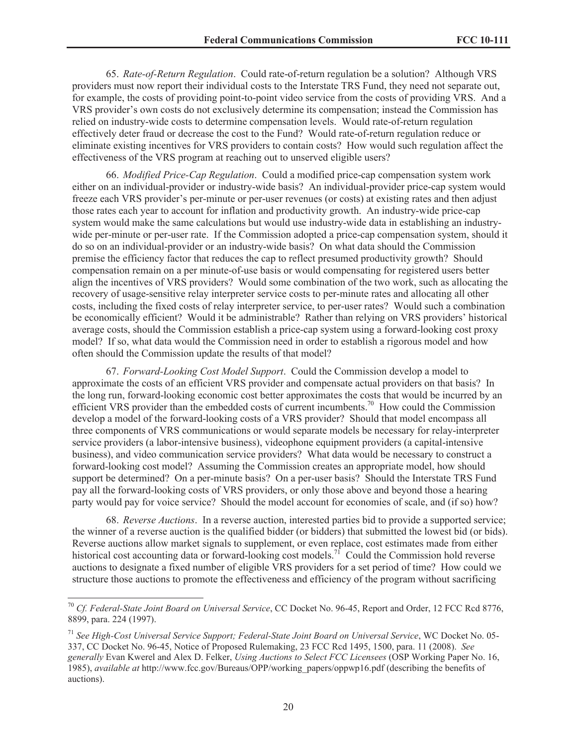65. *Rate-of-Return Regulation*. Could rate-of-return regulation be a solution? Although VRS providers must now report their individual costs to the Interstate TRS Fund, they need not separate out, for example, the costs of providing point-to-point video service from the costs of providing VRS. And a VRS provider's own costs do not exclusively determine its compensation; instead the Commission has relied on industry-wide costs to determine compensation levels. Would rate-of-return regulation effectively deter fraud or decrease the cost to the Fund? Would rate-of-return regulation reduce or eliminate existing incentives for VRS providers to contain costs? How would such regulation affect the effectiveness of the VRS program at reaching out to unserved eligible users?

66. *Modified Price-Cap Regulation*. Could a modified price-cap compensation system work either on an individual-provider or industry-wide basis? An individual-provider price-cap system would freeze each VRS provider's per-minute or per-user revenues (or costs) at existing rates and then adjust those rates each year to account for inflation and productivity growth. An industry-wide price-cap system would make the same calculations but would use industry-wide data in establishing an industrywide per-minute or per-user rate. If the Commission adopted a price-cap compensation system, should it do so on an individual-provider or an industry-wide basis? On what data should the Commission premise the efficiency factor that reduces the cap to reflect presumed productivity growth? Should compensation remain on a per minute-of-use basis or would compensating for registered users better align the incentives of VRS providers? Would some combination of the two work, such as allocating the recovery of usage-sensitive relay interpreter service costs to per-minute rates and allocating all other costs, including the fixed costs of relay interpreter service, to per-user rates? Would such a combination be economically efficient? Would it be administrable? Rather than relying on VRS providers' historical average costs, should the Commission establish a price-cap system using a forward-looking cost proxy model? If so, what data would the Commission need in order to establish a rigorous model and how often should the Commission update the results of that model?

67. *Forward-Looking Cost Model Support*. Could the Commission develop a model to approximate the costs of an efficient VRS provider and compensate actual providers on that basis? In the long run, forward-looking economic cost better approximates the costs that would be incurred by an efficient VRS provider than the embedded costs of current incumbents.<sup>70</sup> How could the Commission develop a model of the forward-looking costs of a VRS provider? Should that model encompass all three components of VRS communications or would separate models be necessary for relay-interpreter service providers (a labor-intensive business), videophone equipment providers (a capital-intensive business), and video communication service providers? What data would be necessary to construct a forward-looking cost model? Assuming the Commission creates an appropriate model, how should support be determined? On a per-minute basis? On a per-user basis? Should the Interstate TRS Fund pay all the forward-looking costs of VRS providers, or only those above and beyond those a hearing party would pay for voice service? Should the model account for economies of scale, and (if so) how?

68. *Reverse Auctions*. In a reverse auction, interested parties bid to provide a supported service; the winner of a reverse auction is the qualified bidder (or bidders) that submitted the lowest bid (or bids). Reverse auctions allow market signals to supplement, or even replace, cost estimates made from either historical cost accounting data or forward-looking cost models.<sup>71</sup> Could the Commission hold reverse auctions to designate a fixed number of eligible VRS providers for a set period of time? How could we structure those auctions to promote the effectiveness and efficiency of the program without sacrificing

<sup>70</sup> *Cf. Federal-State Joint Board on Universal Service*, CC Docket No. 96-45, Report and Order, 12 FCC Rcd 8776, 8899, para. 224 (1997).

<sup>71</sup> *See High-Cost Universal Service Support; Federal-State Joint Board on Universal Service*, WC Docket No. 05- 337, CC Docket No. 96-45, Notice of Proposed Rulemaking, 23 FCC Rcd 1495, 1500, para. 11 (2008). *See generally* Evan Kwerel and Alex D. Felker, *Using Auctions to Select FCC Licensees* (OSP Working Paper No. 16, 1985), *available at* http://www.fcc.gov/Bureaus/OPP/working\_papers/oppwp16.pdf (describing the benefits of auctions).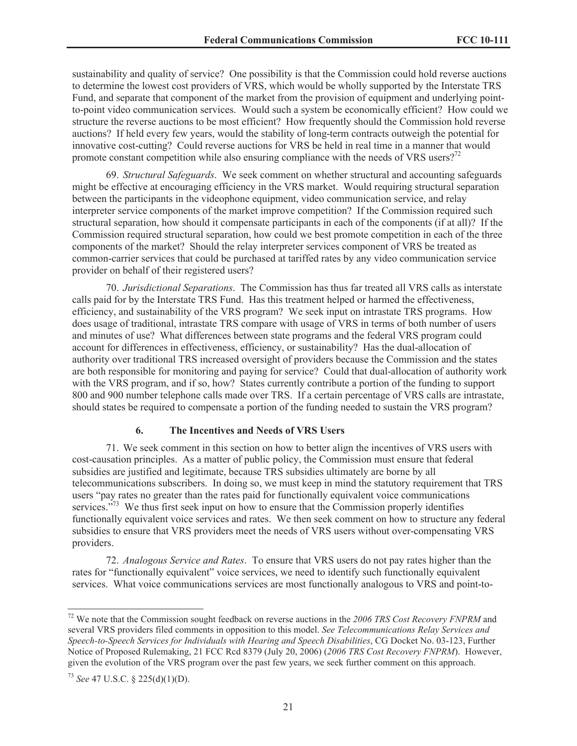sustainability and quality of service? One possibility is that the Commission could hold reverse auctions to determine the lowest cost providers of VRS, which would be wholly supported by the Interstate TRS Fund, and separate that component of the market from the provision of equipment and underlying pointto-point video communication services. Would such a system be economically efficient? How could we structure the reverse auctions to be most efficient? How frequently should the Commission hold reverse auctions? If held every few years, would the stability of long-term contracts outweigh the potential for innovative cost-cutting? Could reverse auctions for VRS be held in real time in a manner that would promote constant competition while also ensuring compliance with the needs of VRS users?<sup>72</sup>

69. *Structural Safeguards*. We seek comment on whether structural and accounting safeguards might be effective at encouraging efficiency in the VRS market. Would requiring structural separation between the participants in the videophone equipment, video communication service, and relay interpreter service components of the market improve competition? If the Commission required such structural separation, how should it compensate participants in each of the components (if at all)? If the Commission required structural separation, how could we best promote competition in each of the three components of the market? Should the relay interpreter services component of VRS be treated as common-carrier services that could be purchased at tariffed rates by any video communication service provider on behalf of their registered users?

70. *Jurisdictional Separations*. The Commission has thus far treated all VRS calls as interstate calls paid for by the Interstate TRS Fund. Has this treatment helped or harmed the effectiveness, efficiency, and sustainability of the VRS program? We seek input on intrastate TRS programs. How does usage of traditional, intrastate TRS compare with usage of VRS in terms of both number of users and minutes of use? What differences between state programs and the federal VRS program could account for differences in effectiveness, efficiency, or sustainability? Has the dual-allocation of authority over traditional TRS increased oversight of providers because the Commission and the states are both responsible for monitoring and paying for service? Could that dual-allocation of authority work with the VRS program, and if so, how? States currently contribute a portion of the funding to support 800 and 900 number telephone calls made over TRS. If a certain percentage of VRS calls are intrastate, should states be required to compensate a portion of the funding needed to sustain the VRS program?

## **6. The Incentives and Needs of VRS Users**

71. We seek comment in this section on how to better align the incentives of VRS users with cost-causation principles. As a matter of public policy, the Commission must ensure that federal subsidies are justified and legitimate, because TRS subsidies ultimately are borne by all telecommunications subscribers. In doing so, we must keep in mind the statutory requirement that TRS users "pay rates no greater than the rates paid for functionally equivalent voice communications services. $\frac{1}{2}$ <sup>73</sup> We thus first seek input on how to ensure that the Commission properly identifies functionally equivalent voice services and rates. We then seek comment on how to structure any federal subsidies to ensure that VRS providers meet the needs of VRS users without over-compensating VRS providers.

72. *Analogous Service and Rates*. To ensure that VRS users do not pay rates higher than the rates for "functionally equivalent" voice services, we need to identify such functionally equivalent services. What voice communications services are most functionally analogous to VRS and point-to-

<sup>72</sup> We note that the Commission sought feedback on reverse auctions in the *2006 TRS Cost Recovery FNPRM* and several VRS providers filed comments in opposition to this model. *See Telecommunications Relay Services and Speech-to-Speech Services for Individuals with Hearing and Speech Disabilities*, CG Docket No. 03-123, Further Notice of Proposed Rulemaking, 21 FCC Rcd 8379 (July 20, 2006) (*2006 TRS Cost Recovery FNPRM*). However, given the evolution of the VRS program over the past few years, we seek further comment on this approach.

<sup>73</sup> *See* 47 U.S.C. § 225(d)(1)(D).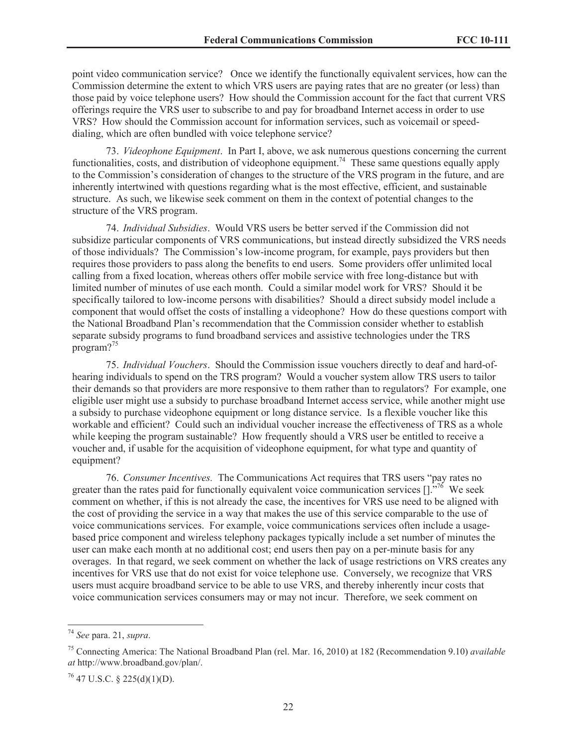point video communication service? Once we identify the functionally equivalent services, how can the Commission determine the extent to which VRS users are paying rates that are no greater (or less) than those paid by voice telephone users? How should the Commission account for the fact that current VRS offerings require the VRS user to subscribe to and pay for broadband Internet access in order to use VRS? How should the Commission account for information services, such as voicemail or speeddialing, which are often bundled with voice telephone service?

73. *Videophone Equipment*. In Part I, above, we ask numerous questions concerning the current functionalities, costs, and distribution of videophone equipment.<sup>74</sup> These same questions equally apply to the Commission's consideration of changes to the structure of the VRS program in the future, and are inherently intertwined with questions regarding what is the most effective, efficient, and sustainable structure. As such, we likewise seek comment on them in the context of potential changes to the structure of the VRS program.

74. *Individual Subsidies*. Would VRS users be better served if the Commission did not subsidize particular components of VRS communications, but instead directly subsidized the VRS needs of those individuals? The Commission's low-income program, for example, pays providers but then requires those providers to pass along the benefits to end users. Some providers offer unlimited local calling from a fixed location, whereas others offer mobile service with free long-distance but with limited number of minutes of use each month. Could a similar model work for VRS? Should it be specifically tailored to low-income persons with disabilities? Should a direct subsidy model include a component that would offset the costs of installing a videophone? How do these questions comport with the National Broadband Plan's recommendation that the Commission consider whether to establish separate subsidy programs to fund broadband services and assistive technologies under the TRS program?<sup>75</sup>

75. *Individual Vouchers*. Should the Commission issue vouchers directly to deaf and hard-ofhearing individuals to spend on the TRS program? Would a voucher system allow TRS users to tailor their demands so that providers are more responsive to them rather than to regulators? For example, one eligible user might use a subsidy to purchase broadband Internet access service, while another might use a subsidy to purchase videophone equipment or long distance service. Is a flexible voucher like this workable and efficient? Could such an individual voucher increase the effectiveness of TRS as a whole while keeping the program sustainable? How frequently should a VRS user be entitled to receive a voucher and, if usable for the acquisition of videophone equipment, for what type and quantity of equipment?

76. *Consumer Incentives.* The Communications Act requires that TRS users "pay rates no greater than the rates paid for functionally equivalent voice communication services  $[1]^{5,76}$  We seek comment on whether, if this is not already the case, the incentives for VRS use need to be aligned with the cost of providing the service in a way that makes the use of this service comparable to the use of voice communications services. For example, voice communications services often include a usagebased price component and wireless telephony packages typically include a set number of minutes the user can make each month at no additional cost; end users then pay on a per-minute basis for any overages. In that regard, we seek comment on whether the lack of usage restrictions on VRS creates any incentives for VRS use that do not exist for voice telephone use. Conversely, we recognize that VRS users must acquire broadband service to be able to use VRS, and thereby inherently incur costs that voice communication services consumers may or may not incur. Therefore, we seek comment on

<sup>74</sup> *See* para. 21, *supra*.

<sup>75</sup> Connecting America: The National Broadband Plan (rel. Mar. 16, 2010) at 182 (Recommendation 9.10) *available at* http://www.broadband.gov/plan/.

 $^{76}$  47 U.S.C. § 225(d)(1)(D).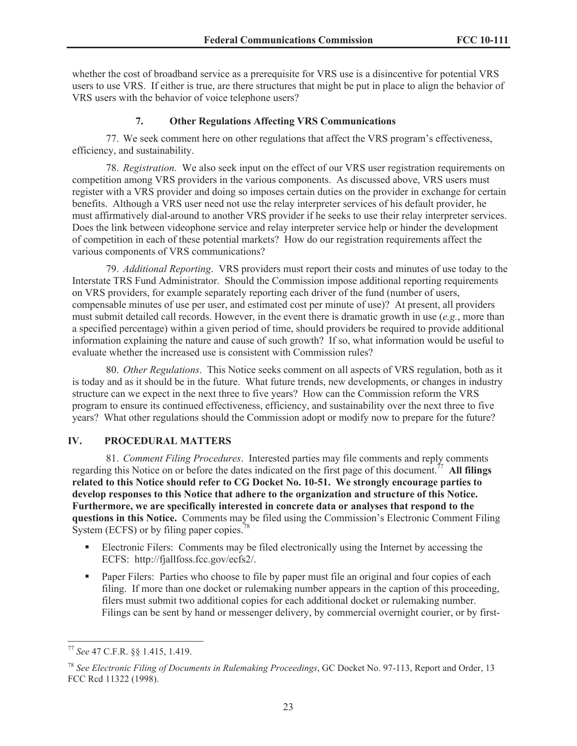whether the cost of broadband service as a prerequisite for VRS use is a disincentive for potential VRS users to use VRS. If either is true, are there structures that might be put in place to align the behavior of VRS users with the behavior of voice telephone users?

### **7. Other Regulations Affecting VRS Communications**

77. We seek comment here on other regulations that affect the VRS program's effectiveness, efficiency, and sustainability.

78. *Registration*. We also seek input on the effect of our VRS user registration requirements on competition among VRS providers in the various components. As discussed above, VRS users must register with a VRS provider and doing so imposes certain duties on the provider in exchange for certain benefits. Although a VRS user need not use the relay interpreter services of his default provider, he must affirmatively dial-around to another VRS provider if he seeks to use their relay interpreter services. Does the link between videophone service and relay interpreter service help or hinder the development of competition in each of these potential markets? How do our registration requirements affect the various components of VRS communications?

79. *Additional Reporting*. VRS providers must report their costs and minutes of use today to the Interstate TRS Fund Administrator. Should the Commission impose additional reporting requirements on VRS providers, for example separately reporting each driver of the fund (number of users, compensable minutes of use per user, and estimated cost per minute of use)? At present, all providers must submit detailed call records. However, in the event there is dramatic growth in use (*e.g.*, more than a specified percentage) within a given period of time, should providers be required to provide additional information explaining the nature and cause of such growth? If so, what information would be useful to evaluate whether the increased use is consistent with Commission rules?

80. *Other Regulations*. This Notice seeks comment on all aspects of VRS regulation, both as it is today and as it should be in the future. What future trends, new developments, or changes in industry structure can we expect in the next three to five years? How can the Commission reform the VRS program to ensure its continued effectiveness, efficiency, and sustainability over the next three to five years? What other regulations should the Commission adopt or modify now to prepare for the future?

## **IV. PROCEDURAL MATTERS**

81. *Comment Filing Procedures*. Interested parties may file comments and reply comments regarding this Notice on or before the dates indicated on the first page of this document.<sup>77</sup> **All filings related to this Notice should refer to CG Docket No. 10-51. We strongly encourage parties to develop responses to this Notice that adhere to the organization and structure of this Notice. Furthermore, we are specifically interested in concrete data or analyses that respond to the questions in this Notice.** Comments may be filed using the Commission's Electronic Comment Filing System (ECFS) or by filing paper copies.<sup>78</sup>

- Electronic Filers: Comments may be filed electronically using the Internet by accessing the ECFS: http://fjallfoss.fcc.gov/ecfs2/.
- Paper Filers: Parties who choose to file by paper must file an original and four copies of each filing. If more than one docket or rulemaking number appears in the caption of this proceeding, filers must submit two additional copies for each additional docket or rulemaking number. Filings can be sent by hand or messenger delivery, by commercial overnight courier, or by first-

<sup>77</sup> *See* 47 C.F.R. §§ 1.415, 1.419.

<sup>78</sup> *See Electronic Filing of Documents in Rulemaking Proceedings*, GC Docket No. 97-113, Report and Order, 13 FCC Rcd 11322 (1998).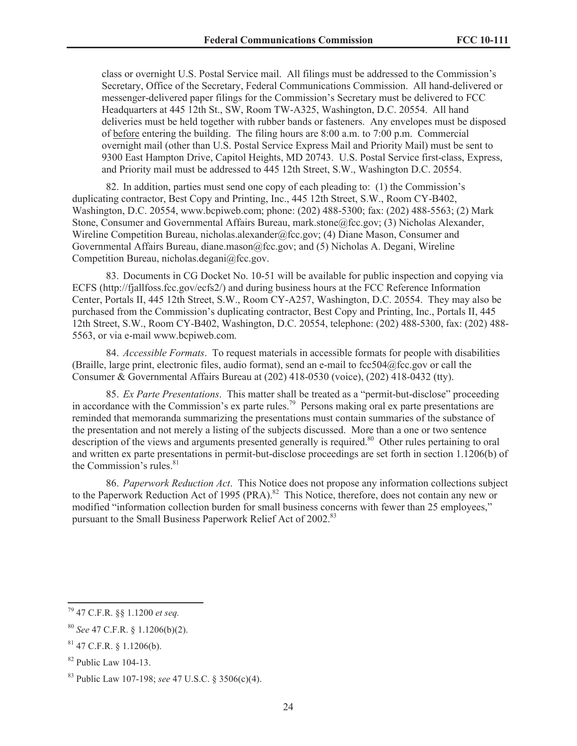class or overnight U.S. Postal Service mail. All filings must be addressed to the Commission's Secretary, Office of the Secretary, Federal Communications Commission. All hand-delivered or messenger-delivered paper filings for the Commission's Secretary must be delivered to FCC Headquarters at 445 12th St., SW, Room TW-A325, Washington, D.C. 20554. All hand deliveries must be held together with rubber bands or fasteners. Any envelopes must be disposed of before entering the building. The filing hours are 8:00 a.m. to 7:00 p.m. Commercial overnight mail (other than U.S. Postal Service Express Mail and Priority Mail) must be sent to 9300 East Hampton Drive, Capitol Heights, MD 20743. U.S. Postal Service first-class, Express, and Priority mail must be addressed to 445 12th Street, S.W., Washington D.C. 20554.

82. In addition, parties must send one copy of each pleading to: (1) the Commission's duplicating contractor, Best Copy and Printing, Inc., 445 12th Street, S.W., Room CY-B402, Washington, D.C. 20554, www.bcpiweb.com; phone: (202) 488-5300; fax: (202) 488-5563; (2) Mark Stone, Consumer and Governmental Affairs Bureau, mark.stone@fcc.gov; (3) Nicholas Alexander, Wireline Competition Bureau, nicholas.alexander@fcc.gov; (4) Diane Mason, Consumer and Governmental Affairs Bureau, diane.mason@fcc.gov; and (5) Nicholas A. Degani, Wireline Competition Bureau, nicholas.degani@fcc.gov.

83. Documents in CG Docket No. 10-51 will be available for public inspection and copying via ECFS (http://fjallfoss.fcc.gov/ecfs2/) and during business hours at the FCC Reference Information Center, Portals II, 445 12th Street, S.W., Room CY-A257, Washington, D.C. 20554. They may also be purchased from the Commission's duplicating contractor, Best Copy and Printing, Inc., Portals II, 445 12th Street, S.W., Room CY-B402, Washington, D.C. 20554, telephone: (202) 488-5300, fax: (202) 488- 5563, or via e-mail www.bcpiweb.com.

84. *Accessible Formats*. To request materials in accessible formats for people with disabilities (Braille, large print, electronic files, audio format), send an e-mail to fcc504@fcc.gov or call the Consumer & Governmental Affairs Bureau at (202) 418-0530 (voice), (202) 418-0432 (tty).

85. *Ex Parte Presentations*. This matter shall be treated as a "permit-but-disclose" proceeding in accordance with the Commission's ex parte rules.<sup>79</sup> Persons making oral ex parte presentations are reminded that memoranda summarizing the presentations must contain summaries of the substance of the presentation and not merely a listing of the subjects discussed. More than a one or two sentence description of the views and arguments presented generally is required.<sup>80</sup> Other rules pertaining to oral and written ex parte presentations in permit-but-disclose proceedings are set forth in section 1.1206(b) of the Commission's rules. $81$ 

86. *Paperwork Reduction Act*. This Notice does not propose any information collections subject to the Paperwork Reduction Act of 1995 (PRA).<sup>82</sup> This Notice, therefore, does not contain any new or modified "information collection burden for small business concerns with fewer than 25 employees," pursuant to the Small Business Paperwork Relief Act of 2002.<sup>83</sup>

<sup>79</sup> 47 C.F.R. §§ 1.1200 *et seq.*

<sup>80</sup> *See* 47 C.F.R. § 1.1206(b)(2).

 $81$  47 C.F.R. § 1.1206(b).

 $82$  Public Law 104-13.

<sup>83</sup> Public Law 107-198; *see* 47 U.S.C. § 3506(c)(4).